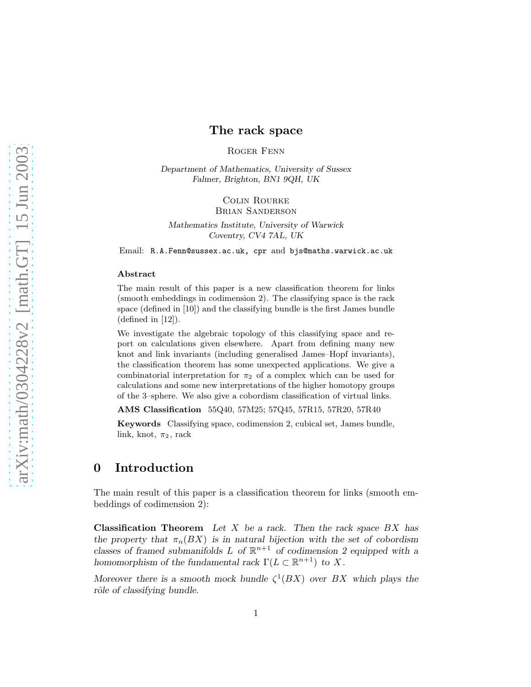# The rack space

Roger Fenn

Department of Mathematics, University of Sussex Falmer, Brighton, BN1 9QH, UK

> Colin Rourke Brian Sanderson

Mathematics Institute, University of Warwick Coventry, CV4 7AL, UK

Email: R.A.Fenn@sussex.ac.uk, cpr and bjs@maths.warwick.ac.uk

#### Abstract

The main result of this paper is a new classification theorem for links (smooth embeddings in codimension 2). The classifying space is the rack space (defined in [10]) and the classifying bundle is the first James bundle (defined in [12]).

We investigate the algebraic topology of this classifying space and report on calculations given elsewhere. Apart from defining many new knot and link invariants (including generalised James–Hopf invariants), the classification theorem has some unexpected applications. We give a combinatorial interpretation for  $\pi_2$  of a complex which can be used for calculations and some new interpretations of the higher homotopy groups of the 3–sphere. We also give a cobordism classification of virtual links.

AMS Classification 55Q40, 57M25; 57Q45, 57R15, 57R20, 57R40

Keywords Classifying space, codimension 2, cubical set, James bundle, link, knot,  $\pi_2$ , rack

# 0 Introduction

The main result of this paper is a classification theorem for links (smooth embeddings of codimension 2):

**Classification Theorem** Let X be a rack. Then the rack space  $BX$  has the property that  $\pi_n(BX)$  is in natural bijection with the set of cobordism classes of framed submanifolds L of  $\mathbb{R}^{n+1}$  of codimension 2 equipped with a homomorphism of the fundamental rack  $\Gamma(L \subset \mathbb{R}^{n+1})$  to X.

Moreover there is a smooth mock bundle  $\zeta^1(BX)$  over BX which plays the rôle of classifying bundle.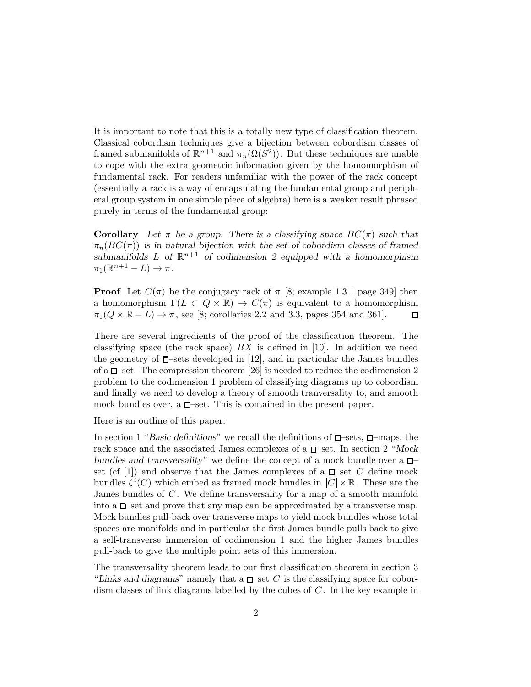It is important to note that this is a totally new type of classification theorem. Classical cobordism techniques give a bijection between cobordism classes of framed submanifolds of  $\mathbb{R}^{n+1}$  and  $\pi_n(\Omega(S^2))$ . But these techniques are unable to cope with the extra geometric information given by the homomorphism of fundamental rack. For readers unfamiliar with the power of the rack concept (essentially a rack is a way of encapsulating the fundamental group and peripheral group system in one simple piece of algebra) here is a weaker result phrased purely in terms of the fundamental group:

**Corollary** Let  $\pi$  be a group. There is a classifying space  $BC(\pi)$  such that  $\pi_n(BC(\pi))$  is in natural bijection with the set of cobordism classes of framed submanifolds L of  $\mathbb{R}^{n+1}$  of codimension 2 equipped with a homomorphism  $\pi_1(\mathbb{R}^{n+1}-L)\to\pi$ .

**Proof** Let  $C(\pi)$  be the conjugacy rack of  $\pi$  [8; example 1.3.1 page 349] then a homomorphism  $\Gamma(L \subset Q \times \mathbb{R}) \to C(\pi)$  is equivalent to a homomorphism  $\pi_1(Q \times \mathbb{R} - L) \to \pi$ , see [8; corollaries 2.2 and 3.3, pages 354 and 361].  $\Box$ 

There are several ingredients of the proof of the classification theorem. The classifying space (the rack space)  $BX$  is defined in [10]. In addition we need the geometry of  $\Box$ —sets developed in [12], and in particular the James bundles of a  $\Box$ -set. The compression theorem [26] is needed to reduce the codimension 2 problem to the codimension 1 problem of classifying diagrams up to cobordism and finally we need to develop a theory of smooth tranversality to, and smooth mock bundles over, a  $\square$ -set. This is contained in the present paper.

Here is an outline of this paper:

In section 1 "Basic definitions" we recall the definitions of  $\Box$ -sets,  $\Box$ -maps, the rack space and the associated James complexes of a  $\Box$ -set. In section 2 "Mock bundles and transversality" we define the concept of a mock bundle over a  $\Box$ set (cf [1]) and observe that the James complexes of a  $\square$ -set C define mock bundles  $\zeta^{i}(C)$  which embed as framed mock bundles in  $|C| \times \mathbb{R}$ . These are the James bundles of C . We define transversality for a map of a smooth manifold into a  $\Box$ -set and prove that any map can be approximated by a transverse map. Mock bundles pull-back over transverse maps to yield mock bundles whose total spaces are manifolds and in particular the first James bundle pulls back to give a self-transverse immersion of codimension 1 and the higher James bundles pull-back to give the multiple point sets of this immersion.

The transversality theorem leads to our first classification theorem in section 3 "Links and diagrams" namely that a  $\Box$ -set C is the classifying space for cobordism classes of link diagrams labelled by the cubes of C . In the key example in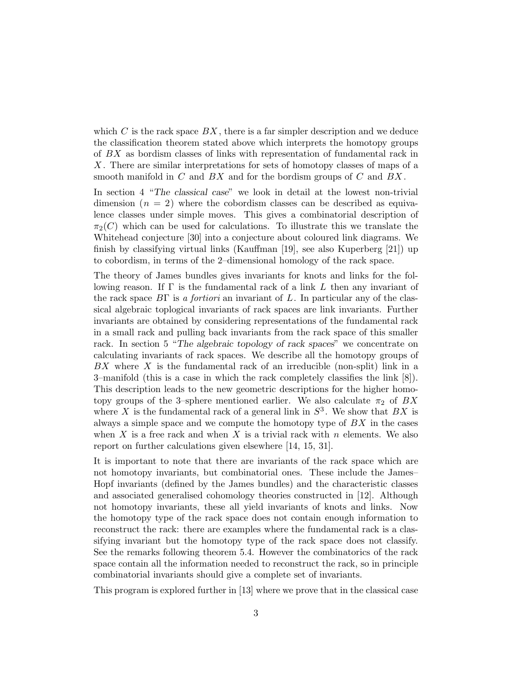which  $C$  is the rack space  $BX$ , there is a far simpler description and we deduce the classification theorem stated above which interprets the homotopy groups of BX as bordism classes of links with representation of fundamental rack in X . There are similar interpretations for sets of homotopy classes of maps of a smooth manifold in  $C$  and  $BX$  and for the bordism groups of  $C$  and  $BX$ .

In section 4 "The classical case" we look in detail at the lowest non-trivial dimension  $(n = 2)$  where the cobordism classes can be described as equivalence classes under simple moves. This gives a combinatorial description of  $\pi_2(C)$  which can be used for calculations. To illustrate this we translate the Whitehead conjecture [30] into a conjecture about coloured link diagrams. We finish by classifying virtual links (Kauffman [19], see also Kuperberg [21]) up to cobordism, in terms of the 2–dimensional homology of the rack space.

The theory of James bundles gives invariants for knots and links for the following reason. If  $\Gamma$  is the fundamental rack of a link L then any invariant of the rack space  $B\Gamma$  is a fortiori an invariant of L. In particular any of the classical algebraic toplogical invariants of rack spaces are link invariants. Further invariants are obtained by considering representations of the fundamental rack in a small rack and pulling back invariants from the rack space of this smaller rack. In section 5 "The algebraic topology of rack spaces" we concentrate on calculating invariants of rack spaces. We describe all the homotopy groups of  $BX$  where  $X$  is the fundamental rack of an irreducible (non-split) link in a 3–manifold (this is a case in which the rack completely classifies the link [8]). This description leads to the new geometric descriptions for the higher homotopy groups of the 3-sphere mentioned earlier. We also calculate  $\pi_2$  of BX where X is the fundamental rack of a general link in  $S^3$ . We show that  $BX$  is always a simple space and we compute the homotopy type of  $BX$  in the cases when X is a free rack and when X is a trivial rack with n elements. We also report on further calculations given elsewhere [14, 15, 31].

It is important to note that there are invariants of the rack space which are not homotopy invariants, but combinatorial ones. These include the James– Hopf invariants (defined by the James bundles) and the characteristic classes and associated generalised cohomology theories constructed in [12]. Although not homotopy invariants, these all yield invariants of knots and links. Now the homotopy type of the rack space does not contain enough information to reconstruct the rack: there are examples where the fundamental rack is a classifying invariant but the homotopy type of the rack space does not classify. See the remarks following theorem 5.4. However the combinatorics of the rack space contain all the information needed to reconstruct the rack, so in principle combinatorial invariants should give a complete set of invariants.

This program is explored further in [13] where we prove that in the classical case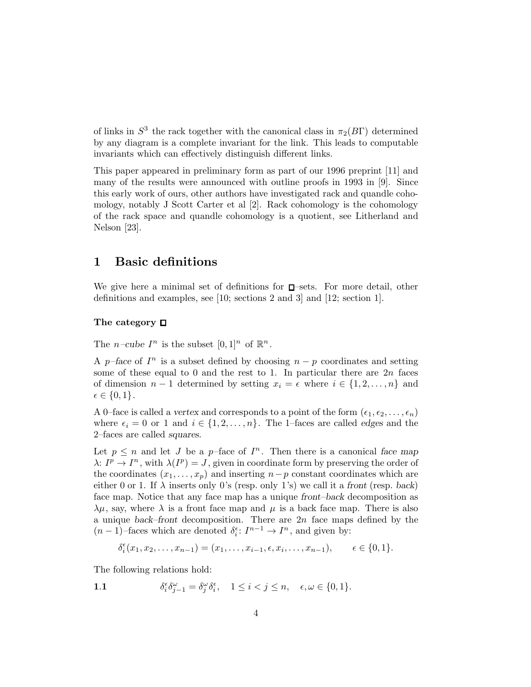of links in  $S^3$  the rack together with the canonical class in  $\pi_2(B\Gamma)$  determined by any diagram is a complete invariant for the link. This leads to computable invariants which can effectively distinguish different links.

This paper appeared in preliminary form as part of our 1996 preprint [11] and many of the results were announced with outline proofs in 1993 in [9]. Since this early work of ours, other authors have investigated rack and quandle cohomology, notably J Scott Carter et al [2]. Rack cohomology is the cohomology of the rack space and quandle cohomology is a quotient, see Litherland and Nelson [23].

# 1 Basic definitions

We give here a minimal set of definitions for  $\square$ -sets. For more detail, other definitions and examples, see [10; sections 2 and 3] and [12; section 1].

# The category  $\Box$

The *n*-cube  $I^n$  is the subset  $[0,1]^n$  of  $\mathbb{R}^n$ .

A p–face of  $I<sup>n</sup>$  is a subset defined by choosing  $n - p$  coordinates and setting some of these equal to 0 and the rest to 1. In particular there are  $2n$  faces of dimension  $n-1$  determined by setting  $x_i = \epsilon$  where  $i \in \{1, 2, \ldots, n\}$  and  $\epsilon \in \{0,1\}.$ 

A 0-face is called a vertex and corresponds to a point of the form  $(\epsilon_1, \epsilon_2, \ldots, \epsilon_n)$ where  $\epsilon_i = 0$  or 1 and  $i \in \{1, 2, ..., n\}$ . The 1–faces are called edges and the 2–faces are called squares.

Let  $p \leq n$  and let J be a p-face of  $I<sup>n</sup>$ . Then there is a canonical face map  $\lambda: I^p \to I^n$ , with  $\lambda(I^p) = J$ , given in coordinate form by preserving the order of the coordinates  $(x_1, \ldots, x_p)$  and inserting  $n-p$  constant coordinates which are either 0 or 1. If  $\lambda$  inserts only 0's (resp. only 1's) we call it a front (resp. back) face map. Notice that any face map has a unique front–back decomposition as  $\lambda\mu$ , say, where  $\lambda$  is a front face map and  $\mu$  is a back face map. There is also a unique back–front decomposition. There are  $2n$  face maps defined by the  $(n-1)$ -faces which are denoted  $\delta_i^{\epsilon}$ :  $I^{n-1} \to I^n$ , and given by:

$$
\delta_i^{\epsilon}(x_1, x_2, \dots, x_{n-1}) = (x_1, \dots, x_{i-1}, \epsilon, x_i, \dots, x_{n-1}), \qquad \epsilon \in \{0, 1\}.
$$

The following relations hold:

1.1 
$$
\delta_i^{\epsilon} \delta_{j-1}^{\omega} = \delta_j^{\omega} \delta_i^{\epsilon}, \quad 1 \leq i < j \leq n, \quad \epsilon, \omega \in \{0, 1\}.
$$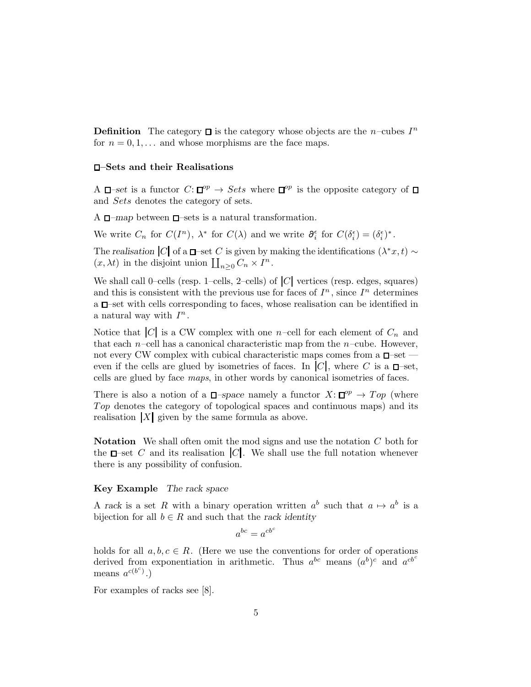**Definition** The category  $\Box$  is the category whose objects are the n–cubes  $I^n$ for  $n = 0, 1, \ldots$  and whose morphisms are the face maps.

#### –Sets and their Realisations

A  $\Box$ -set is a functor  $C: \Box^{op} \to Sets$  where  $\Box^{op}$  is the opposite category of and Sets denotes the category of sets.

A  $\Box$ -map between  $\Box$ -sets is a natural transformation.

We write  $C_n$  for  $C(I^n)$ ,  $\lambda^*$  for  $C(\lambda)$  and we write  $\partial_i^{\epsilon}$  for  $C(\delta_i^{\epsilon}) = (\delta_i^{\epsilon})^*$ .

The realisation  $|C|$  of a  $\Box$ –set C is given by making the identifications  $(\lambda^*x, t) \sim$  $(x, \lambda t)$  in the disjoint union  $\coprod_{n\geq 0} C_n \times I^n$ .

We shall call 0–cells (resp. 1–cells, 2–cells) of  $|C|$  vertices (resp. edges, squares) and this is consistent with the previous use for faces of  $I<sup>n</sup>$ , since  $I<sup>n</sup>$  determines  $a \Box$  set with cells corresponding to faces, whose realisation can be identified in a natural way with  $I^n$ .

Notice that  $|C|$  is a CW complex with one n–cell for each element of  $C_n$  and that each n–cell has a canonical characteristic map from the  $n$ –cube. However, not every CW complex with cubical characteristic maps comes from a  $\Box$ -set even if the cells are glued by isometries of faces. In  $|C|$ , where C is a  $\Box$ -set, cells are glued by face maps, in other words by canonical isometries of faces.

There is also a notion of a  $\Box$ -space namely a functor  $X: \Box^{op} \to Top$  (where Top denotes the category of topological spaces and continuous maps) and its realisation  $|X|$  given by the same formula as above.

**Notation** We shall often omit the mod signs and use the notation  $C$  both for the  $\Box$ -set C and its realisation  $|C|$ . We shall use the full notation whenever there is any possibility of confusion.

## Key Example The rack space

A rack is a set R with a binary operation written  $a^b$  such that  $a \mapsto a^b$  is a bijection for all  $b \in R$  and such that the rack identity

$$
a^{bc} = a^{cb^c}
$$

holds for all  $a, b, c \in R$ . (Here we use the conventions for order of operations derived from exponentiation in arithmetic. Thus  $a^{bc}$  means  $(a^b)^c$  and  $a^{cb^c}$ means  $a^{c(b^c)}$ .)

For examples of racks see [8].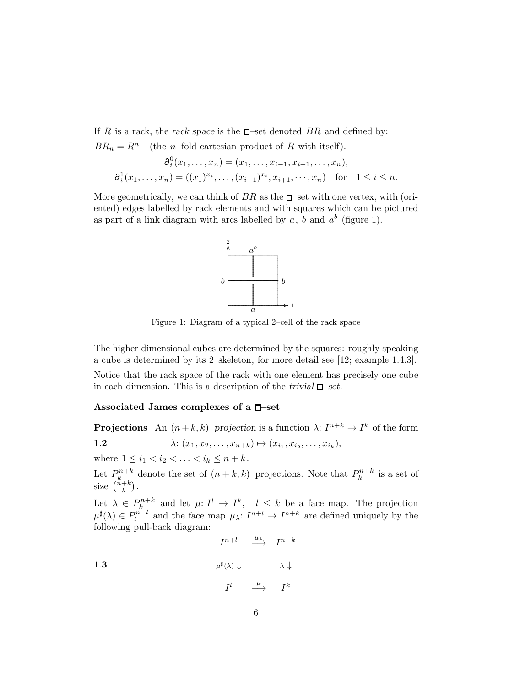If R is a rack, the rack space is the  $\square$ -set denoted BR and defined by:  $BR_n = R^n$  (the *n*–fold cartesian product of R with itself).

$$
\partial_i^0(x_1,\ldots,x_n) = (x_1,\ldots,x_{i-1},x_{i+1},\ldots,x_n),
$$
  

$$
\partial_i^1(x_1,\ldots,x_n) = ((x_1)^{x_i},\ldots,(x_{i-1})^{x_i},x_{i+1},\ldots,x_n) \text{ for } 1 \le i \le n.
$$

More geometrically, we can think of  $BR$  as the  $\Box$ -set with one vertex, with (oriented) edges labelled by rack elements and with squares which can be pictured as part of a link diagram with arcs labelled by  $a, b$  and  $a^b$  (figure 1).



Figure 1: Diagram of a typical 2–cell of the rack space

The higher dimensional cubes are determined by the squares: roughly speaking a cube is determined by its 2–skeleton, for more detail see [12; example 1.4.3].

Notice that the rack space of the rack with one element has precisely one cube in each dimension. This is a description of the trivial  $\Box$ -set.

### Associated James complexes of a  $\square$ -set

**Projections** An  $(n+k, k)$ -projection is a function  $\lambda: I^{n+k} \to I^k$  of the form

1.2 
$$
\lambda: (x_1, x_2, \ldots, x_{n+k}) \mapsto (x_{i_1}, x_{i_2}, \ldots, x_{i_k}),
$$

where  $1 \leq i_1 < i_2 < \ldots < i_k \leq n+k$ .

1.3

Let  $P_k^{n+k}$  denote the set of  $(n+k,k)$ -projections. Note that  $P_k^{n+k}$  is a set of size  $\binom{n+k}{k}$ .

Let  $\lambda \in P_k^{n+k}$  and let  $\mu: I^l \to I^k$ ,  $l \leq k$  be a face map. The projection  $\mu^{\sharp}(\lambda) \in P_{l}^{n+l}$  and the face map  $\mu_{\lambda}: I^{n+l} \to I^{n+k}$  are defined uniquely by the following pull-back diagram:

$$
\begin{array}{ccc}\nI^{n+l} & \xrightarrow{\mu_{\lambda}} & I^{n+k} \\
\downarrow^{\sharp}(\lambda) \downarrow & & \lambda \downarrow \\
I^{l} & \xrightarrow{\mu} & I^{k}\n\end{array}
$$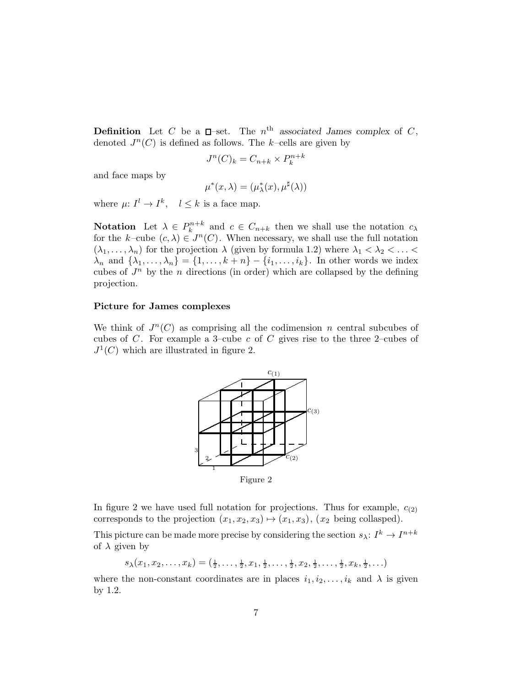**Definition** Let C be a  $\Box$ -set. The  $n^{\text{th}}$  associated James complex of C, denoted  $J^n(C)$  is defined as follows. The k-cells are given by

$$
J^n(C)_k = C_{n+k} \times P_k^{n+k}
$$

and face maps by

$$
\mu^*(x,\lambda)=(\mu^*_\lambda(x),\mu^\sharp(\lambda))
$$

where  $\mu: I^l \to I^k$ ,  $l \leq k$  is a face map.

**Notation** Let  $\lambda \in P_k^{n+k}$  and  $c \in C_{n+k}$  then we shall use the notation  $c_{\lambda}$ for the k-cube  $(c, \lambda) \in J^n(C)$ . When necessary, we shall use the full notation  $(\lambda_1, \ldots, \lambda_n)$  for the projection  $\lambda$  (given by formula 1.2) where  $\lambda_1 < \lambda_2 < \ldots <$  $\lambda_n$  and  $\{\lambda_1,\ldots,\lambda_n\} = \{1,\ldots,k+n\} - \{i_1,\ldots,i_k\}$ . In other words we index cubes of  $J^n$  by the n directions (in order) which are collapsed by the defining projection.

#### Picture for James complexes

We think of  $J<sup>n</sup>(C)$  as comprising all the codimension n central subcubes of cubes of  $C$ . For example a 3-cube  $c$  of  $C$  gives rise to the three 2-cubes of  $J^1(C)$  which are illustrated in figure 2.



Figure 2

In figure 2 we have used full notation for projections. Thus for example,  $c_{(2)}$ corresponds to the projection  $(x_1, x_2, x_3) \mapsto (x_1, x_3), (x_2 \text{ being collapsed}).$ 

This picture can be made more precise by considering the section  $s_{\lambda}: I^{k} \to I^{n+k}$ of  $\lambda$  given by

$$
s_{\lambda}(x_1, x_2, \ldots, x_k) = (\frac{1}{2}, \ldots, \frac{1}{2}, x_1, \frac{1}{2}, \ldots, \frac{1}{2}, x_2, \frac{1}{2}, \ldots, \frac{1}{2}, x_k, \frac{1}{2}, \ldots)
$$

where the non-constant coordinates are in places  $i_1, i_2, \ldots, i_k$  and  $\lambda$  is given by 1.2.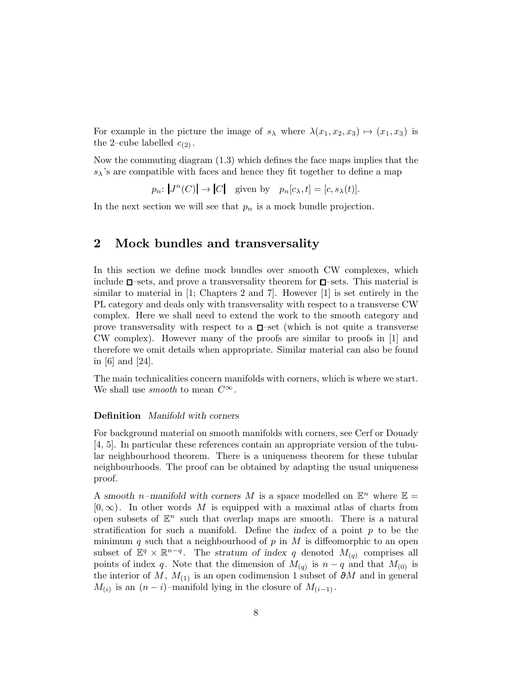For example in the picture the image of  $s_{\lambda}$  where  $\lambda(x_1, x_2, x_3) \mapsto (x_1, x_3)$  is the 2-cube labelled  $c_{(2)}$ .

Now the commuting diagram (1.3) which defines the face maps implies that the  $s_{\lambda}$ 's are compatible with faces and hence they fit together to define a map

 $p_n: |J^n(C)| \to |C|$  given by  $p_n[c_\lambda, t] = [c, s_\lambda(t)].$ 

In the next section we will see that  $p_n$  is a mock bundle projection.

# 2 Mock bundles and transversality

In this section we define mock bundles over smooth CW complexes, which include  $\square$ -sets, and prove a transversality theorem for  $\square$ -sets. This material is similar to material in [1; Chapters 2 and 7]. However [1] is set entirely in the PL category and deals only with transversality with respect to a transverse CW complex. Here we shall need to extend the work to the smooth category and prove transversality with respect to a  $\Box$ -set (which is not quite a transverse CW complex). However many of the proofs are similar to proofs in [1] and therefore we omit details when appropriate. Similar material can also be found in [6] and [24].

The main technicalities concern manifolds with corners, which is where we start. We shall use *smooth* to mean  $C^{\infty}$ .

## Definition Manifold with corners

For background material on smooth manifolds with corners, see Cerf or Douady [4, 5]. In particular these references contain an appropriate version of the tubular neighbourhood theorem. There is a uniqueness theorem for these tubular neighbourhoods. The proof can be obtained by adapting the usual uniqueness proof.

A smooth *n*-manifold with corners M is a space modelled on  $\mathbb{E}^n$  where  $\mathbb{E} =$  $[0,\infty)$ . In other words M is equipped with a maximal atlas of charts from open subsets of  $\mathbb{E}^n$  such that overlap maps are smooth. There is a natural stratification for such a manifold. Define the index of a point  $p$  to be the minimum q such that a neighbourhood of p in M is diffeomorphic to an open subset of  $\mathbb{E}^q \times \mathbb{R}^{n-q}$ . The stratum of index q denoted  $M_{(q)}$  comprises all points of index q. Note that the dimension of  $M_{(q)}$  is  $n-q$  and that  $M_{(0)}$  is the interior of M,  $M_{(1)}$  is an open codimension 1 subset of ∂M and in general  $M_{(i)}$  is an  $(n - i)$ -manifold lying in the closure of  $M_{(i-1)}$ .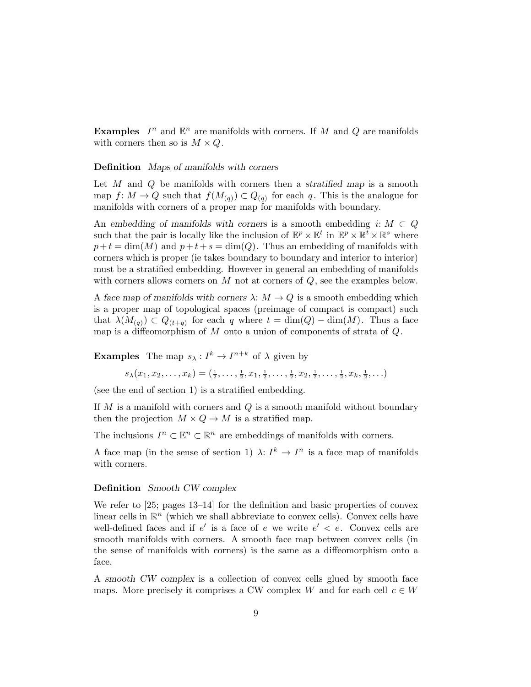**Examples**  $I^n$  and  $\mathbb{E}^n$  are manifolds with corners. If M and Q are manifolds with corners then so is  $M \times Q$ .

#### Definition Maps of manifolds with corners

Let  $M$  and  $Q$  be manifolds with corners then a stratified map is a smooth map  $f: M \to Q$  such that  $f(M_{(q)}) \subset Q_{(q)}$  for each q. This is the analogue for manifolds with corners of a proper map for manifolds with boundary.

An embedding of manifolds with corners is a smooth embedding  $i: M \subset Q$ such that the pair is locally like the inclusion of  $\mathbb{E}^p \times \mathbb{E}^t$  in  $\mathbb{E}^p \times \mathbb{R}^t \times \mathbb{R}^s$  where  $p+t = \dim(M)$  and  $p+t+s = \dim(Q)$ . Thus an embedding of manifolds with corners which is proper (ie takes boundary to boundary and interior to interior) must be a stratified embedding. However in general an embedding of manifolds with corners allows corners on  $M$  not at corners of  $Q$ , see the examples below.

A face map of manifolds with corners  $\lambda: M \to Q$  is a smooth embedding which is a proper map of topological spaces (preimage of compact is compact) such that  $\lambda(M_{(q)}) \subset Q_{(t+q)}$  for each q where  $t = \dim(Q) - \dim(M)$ . Thus a face map is a diffeomorphism of  $M$  onto a union of components of strata of  $Q$ .

**Examples** The map  $s_{\lambda}: I^k \to I^{n+k}$  of  $\lambda$  given by

$$
s_{\lambda}(x_1, x_2, \ldots, x_k) = (\frac{1}{2}, \ldots, \frac{1}{2}, x_1, \frac{1}{2}, \ldots, \frac{1}{2}, x_2, \frac{1}{2}, \ldots, \frac{1}{2}, x_k, \frac{1}{2}, \ldots)
$$

(see the end of section 1) is a stratified embedding.

If M is a manifold with corners and Q is a smooth manifold without boundary then the projection  $M \times Q \rightarrow M$  is a stratified map.

The inclusions  $I^n \subset \mathbb{R}^n \subset \mathbb{R}^n$  are embeddings of manifolds with corners.

A face map (in the sense of section 1)  $\lambda: I^k \to I^n$  is a face map of manifolds with corners.

## Definition Smooth CW complex

We refer to [25; pages 13–14] for the definition and basic properties of convex linear cells in  $\mathbb{R}^n$  (which we shall abbreviate to convex cells). Convex cells have well-defined faces and if  $e'$  is a face of e we write  $e' < e$ . Convex cells are smooth manifolds with corners. A smooth face map between convex cells (in the sense of manifolds with corners) is the same as a diffeomorphism onto a face.

A smooth CW complex is a collection of convex cells glued by smooth face maps. More precisely it comprises a CW complex W and for each cell  $c \in W$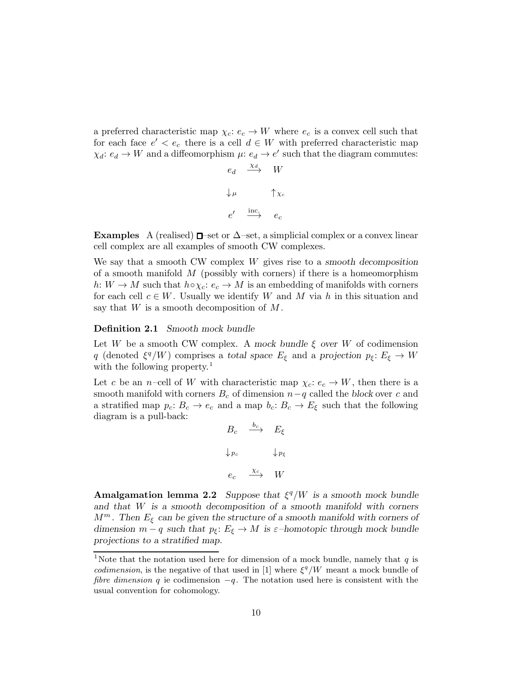a preferred characteristic map  $\chi_c: e_c \to W$  where  $e_c$  is a convex cell such that for each face  $e' < e_c$  there is a cell  $d \in W$  with preferred characteristic map  $\chi_d: e_d \to W$  and a diffeomorphism  $\mu: e_d \to e'$  such that the diagram commutes:

$$
e_d \xrightarrow{\chi_d} W
$$
  

$$
\downarrow^{\mu} \qquad \uparrow^{\chi_c}
$$
  

$$
e' \xrightarrow{\text{inc}} e_c
$$

**Examples** A (realised)  $\Box$ –set or  $\Delta$ –set, a simplicial complex or a convex linear cell complex are all examples of smooth CW complexes.

We say that a smooth CW complex  $W$  gives rise to a smooth decomposition of a smooth manifold  $M$  (possibly with corners) if there is a homeomorphism h:  $W \to M$  such that  $h \circ \chi_c : e_c \to M$  is an embedding of manifolds with corners for each cell  $c \in W$ . Usually we identify W and M via h in this situation and say that  $W$  is a smooth decomposition of  $M$ .

### Definition 2.1 Smooth mock bundle

Let W be a smooth CW complex. A mock bundle  $\xi$  over W of codimension q (denoted  $\xi^q/W$ ) comprises a total space  $E_{\xi}$  and a projection  $p_{\xi}: E_{\xi} \to W$ with the following property.<sup>1</sup>

Let c be an n–cell of W with characteristic map  $\chi_c: e_c \to W$ , then there is a smooth manifold with corners  $B_c$  of dimension  $n-q$  called the block over c and a stratified map  $p_c: B_c \to e_c$  and a map  $b_c: B_c \to E_{\xi}$  such that the following diagram is a pull-back:

$$
B_c \xrightarrow{b_c} E_{\xi}
$$
  

$$
\downarrow_{p_c} \qquad \downarrow_{p_{\xi}}
$$
  

$$
e_c \xrightarrow{\chi_c} W
$$

Amalgamation lemma 2.2 Suppose that  $\xi^q/W$  is a smooth mock bundle and that W is a smooth decomposition of a smooth manifold with corners  $M^m$ . Then  $E_{\xi}$  can be given the structure of a smooth manifold with corners of dimension  $m - q$  such that  $p_{\xi}: E_{\xi} \to M$  is  $\varepsilon$ -homotopic through mock bundle projections to a stratified map.

<sup>&</sup>lt;sup>1</sup>Note that the notation used here for dimension of a mock bundle, namely that  $q$  is *codimension*, is the negative of that used in [1] where  $\xi^q/W$  meant a mock bundle of fibre dimension q ie codimension  $-q$ . The notation used here is consistent with the usual convention for cohomology.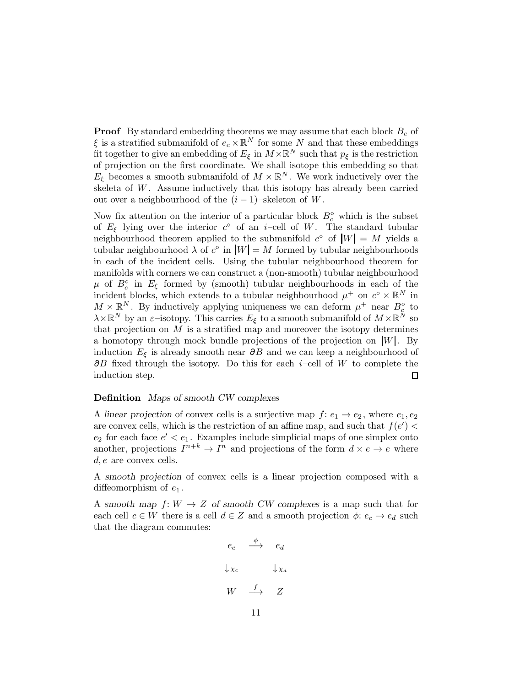**Proof** By standard embedding theorems we may assume that each block  $B_c$  of  $\xi$  is a stratified submanifold of  $e_c \times \mathbb{R}^N$  for some  $N$  and that these embeddings fit together to give an embedding of  $E_{\xi}$  in  $M \times \mathbb{R}^N$  such that  $p_{\xi}$  is the restriction of projection on the first coordinate. We shall isotope this embedding so that  $E_{\xi}$  becomes a smooth submanifold of  $M \times \mathbb{R}^{N}$ . We work inductively over the skeleta of  $W$ . Assume inductively that this isotopy has already been carried out over a neighbourhood of the  $(i-1)$ –skeleton of W.

Now fix attention on the interior of a particular block  $B_c^{\circ}$  which is the subset of  $E_{\xi}$  lying over the interior  $c^{\circ}$  of an i-cell of W. The standard tubular neighbourhood theorem applied to the submanifold  $c^{\circ}$  of  $|W| = M$  yields a tubular neighbourhood  $\lambda$  of  $c^{\circ}$  in  $|W| = M$  formed by tubular neighbourhoods in each of the incident cells. Using the tubular neighbourhood theorem for manifolds with corners we can construct a (non-smooth) tubular neighbourhood  $\mu$  of  $B_c^{\circ}$  in  $E_{\xi}$  formed by (smooth) tubular neighbourhoods in each of the incident blocks, which extends to a tubular neighbourhood  $\mu^+$  on  $c^{\circ} \times \mathbb{R}^N$  in  $M \times \mathbb{R}^N$ . By inductively applying uniqueness we can deform  $\mu^+$  near  $B_c^{\circ}$  to  $\lambda\times\mathbb{R}^N$  by an  $\varepsilon$ -isotopy. This carries  $E_\xi$  to a smooth submanifold of  $M\times\mathbb{R}^N$  so that projection on  $M$  is a stratified map and moreover the isotopy determines a homotopy through mock bundle projections of the projection on  $|W|$ . By induction  $E_{\xi}$  is already smooth near  $\partial B$  and we can keep a neighbourhood of  $\partial B$  fixed through the isotopy. Do this for each i–cell of W to complete the induction step.  $\Box$ 

## Definition Maps of smooth CW complexes

A linear projection of convex cells is a surjective map  $f: e_1 \rightarrow e_2$ , where  $e_1, e_2$ are convex cells, which is the restriction of an affine map, and such that  $f(e')$  $e_2$  for each face  $e' < e_1$ . Examples include simplicial maps of one simplex onto another, projections  $I^{n+k} \to I^n$  and projections of the form  $d \times e \to e$  where d, e are convex cells.

A smooth projection of convex cells is a linear projection composed with a diffeomorphism of  $e_1$ .

A smooth map  $f: W \to Z$  of smooth CW complexes is a map such that for each cell  $c \in W$  there is a cell  $d \in Z$  and a smooth projection  $\phi: e_c \to e_d$  such that the diagram commutes:

$$
e_c \xrightarrow{\phi} e_d
$$
  

$$
\downarrow x_c \qquad \downarrow x_d
$$
  

$$
W \xrightarrow{f} Z
$$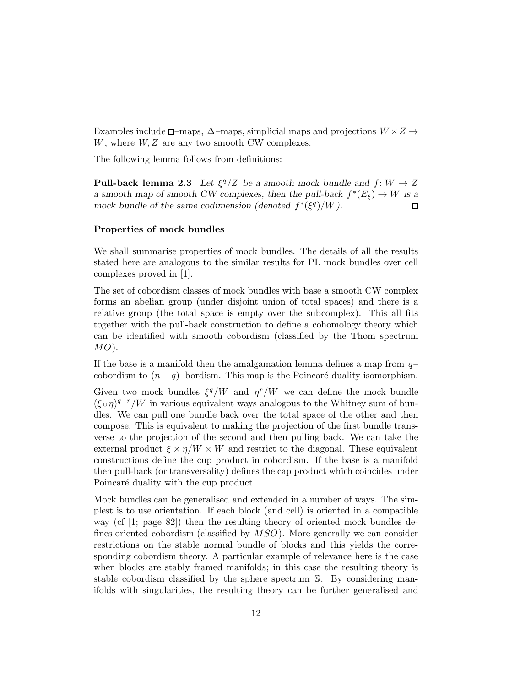Examples include  $\Box$ –maps,  $\Delta$ –maps, simplicial maps and projections  $W \times Z \rightarrow$  $W$ , where  $W, Z$  are any two smooth CW complexes.

The following lemma follows from definitions:

**Pull-back lemma 2.3** Let  $\xi^q/Z$  be a smooth mock bundle and  $f: W \to Z$ a smooth map of smooth CW complexes, then the pull-back  $f^*(E_{\xi}) \to W$  is a mock bundle of the same codimension (denoted  $f^*(\xi^q)/W$ ).  $\Box$ 

### Properties of mock bundles

We shall summarise properties of mock bundles. The details of all the results stated here are analogous to the similar results for PL mock bundles over cell complexes proved in [1].

The set of cobordism classes of mock bundles with base a smooth CW complex forms an abelian group (under disjoint union of total spaces) and there is a relative group (the total space is empty over the subcomplex). This all fits together with the pull-back construction to define a cohomology theory which can be identified with smooth cobordism (classified by the Thom spectrum  $MO$ ).

If the base is a manifold then the amalgamation lemma defines a map from  $q$ cobordism to  $(n - q)$ –bordism. This map is the Poincaré duality isomorphism.

Given two mock bundles  $\xi^q/W$  and  $\eta^r/W$  we can define the mock bundle  $(\xi \circ \eta)^{q+r}/W$  in various equivalent ways analogous to the Whitney sum of bundles. We can pull one bundle back over the total space of the other and then compose. This is equivalent to making the projection of the first bundle transverse to the projection of the second and then pulling back. We can take the external product  $\xi \times \eta/W \times W$  and restrict to the diagonal. These equivalent constructions define the cup product in cobordism. If the base is a manifold then pull-back (or transversality) defines the cap product which coincides under Poincaré duality with the cup product.

Mock bundles can be generalised and extended in a number of ways. The simplest is to use orientation. If each block (and cell) is oriented in a compatible way (cf [1; page 82]) then the resulting theory of oriented mock bundles defines oriented cobordism (classified by  $MSO$ ). More generally we can consider restrictions on the stable normal bundle of blocks and this yields the corresponding cobordism theory. A particular example of relevance here is the case when blocks are stably framed manifolds; in this case the resulting theory is stable cobordism classified by the sphere spectrum S. By considering manifolds with singularities, the resulting theory can be further generalised and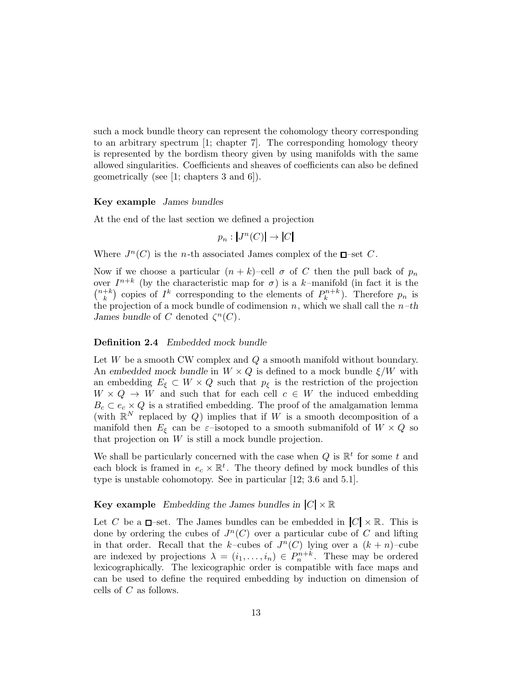such a mock bundle theory can represent the cohomology theory corresponding to an arbitrary spectrum [1; chapter 7]. The corresponding homology theory is represented by the bordism theory given by using manifolds with the same allowed singularities. Coefficients and sheaves of coefficients can also be defined geometrically (see [1; chapters 3 and 6]).

#### Key example James bundles

At the end of the last section we defined a projection

$$
p_n: |J^n(C)| \to |C|
$$

Where  $J^n(C)$  is the *n*-th associated James complex of the  $\Box$ -set C.

Now if we choose a particular  $(n + k)$ –cell  $\sigma$  of C then the pull back of  $p_n$ over  $I^{n+k}$  (by the characteristic map for  $\sigma$ ) is a k-manifold (in fact it is the  $(n+k)$  $\binom{k}{k}$  corresponding to the elements of  $P_k^{n+k}$ ). Therefore  $p_n$  is the projection of a mock bundle of codimension n, which we shall call the  $n-th$ James bundle of C denoted  $\zeta^{n}(C)$ .

### Definition 2.4 Embedded mock bundle

Let  $W$  be a smooth CW complex and  $Q$  a smooth manifold without boundary. An embedded mock bundle in  $W \times Q$  is defined to a mock bundle  $\xi/W$  with an embedding  $E_{\xi} \subset W \times Q$  such that  $p_{\xi}$  is the restriction of the projection  $W \times Q \rightarrow W$  and such that for each cell  $c \in W$  the induced embedding  $B_c \subset e_c \times Q$  is a stratified embedding. The proof of the amalgamation lemma (with  $\mathbb{R}^N$  replaced by Q) implies that if W is a smooth decomposition of a manifold then  $E_{\xi}$  can be  $\varepsilon$ -isotoped to a smooth submanifold of  $W \times Q$  so that projection on  $W$  is still a mock bundle projection.

We shall be particularly concerned with the case when  $Q$  is  $\mathbb{R}^t$  for some t and each block is framed in  $e_c \times \mathbb{R}^t$ . The theory defined by mock bundles of this type is unstable cohomotopy. See in particular [12; 3.6 and 5.1].

# Key example Embedding the James bundles in  $|C| \times \mathbb{R}$

Let C be a  $\Box$ -set. The James bundles can be embedded in  $|C| \times \mathbb{R}$ . This is done by ordering the cubes of  $J<sup>n</sup>(C)$  over a particular cube of C and lifting in that order. Recall that the k-cubes of  $J<sup>n</sup>(C)$  lying over a  $(k + n)$ -cube are indexed by projections  $\lambda = (i_1, \ldots, i_n) \in P_n^{n+k}$ . These may be ordered lexicographically. The lexicographic order is compatible with face maps and can be used to define the required embedding by induction on dimension of cells of C as follows.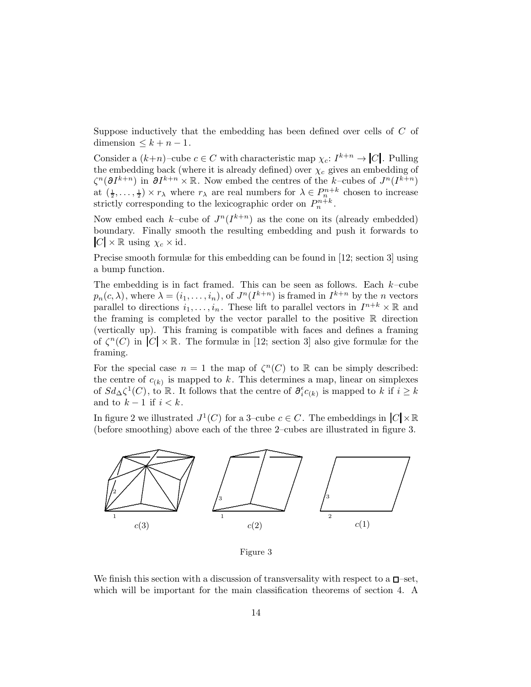Suppose inductively that the embedding has been defined over cells of C of dimension  $\leq k + n - 1$ .

Consider a  $(k+n)$ -cube  $c \in C$  with characteristic map  $\chi_c: I^{k+n} \to |C|$ . Pulling the embedding back (where it is already defined) over  $\chi_c$  gives an embedding of  $\zeta^{n}(\partial I^{k+n})$  in  $\partial I^{k+n} \times \mathbb{R}$ . Now embed the centres of the k–cubes of  $J^{n}(I^{k+n})$ at  $(\frac{1}{2}, \ldots, \frac{1}{2}) \times r_{\lambda}$  where  $r_{\lambda}$  are real numbers for  $\lambda \in P_{n}^{n+k}$  chosen to increase strictly corresponding to the lexicographic order on  $P_n^{n+k}$ .

Now embed each k-cube of  $J^n(I^{k+n})$  as the cone on its (already embedded) boundary. Finally smooth the resulting embedding and push it forwards to  $|C| \times \mathbb{R}$  using  $\chi_c \times id$ .

Precise smooth formulæ for this embedding can be found in [12; section 3] using a bump function.

The embedding is in fact framed. This can be seen as follows. Each  $k$ -cube  $p_n(c, \lambda)$ , where  $\lambda = (i_1, \ldots, i_n)$ , of  $J^n(I^{k+n})$  is framed in  $I^{k+n}$  by the *n* vectors parallel to directions  $i_1, \ldots, i_n$ . These lift to parallel vectors in  $I^{n+k} \times \mathbb{R}$  and the framing is completed by the vector parallel to the positive  $\mathbb R$  direction (vertically up). This framing is compatible with faces and defines a framing of  $\zeta^{n}(C)$  in  $|C| \times \mathbb{R}$ . The formulæ in [12; section 3] also give formulæ for the framing.

For the special case  $n = 1$  the map of  $\zeta^{n}(C)$  to R can be simply described: the centre of  $c_{(k)}$  is mapped to k. This determines a map, linear on simplexes of  $Sd_{\Delta}\zeta^1(C)$ , to R. It follows that the centre of  $\partial_i^{\epsilon}c_{(k)}$  is mapped to k if  $i \geq k$ and to  $k-1$  if  $i < k$ .

In figure 2 we illustrated  $J^1(C)$  for a 3-cube  $c \in C$ . The embeddings in  $|C| \times \mathbb{R}$ (before smoothing) above each of the three 2–cubes are illustrated in figure 3.



Figure 3

We finish this section with a discussion of transversality with respect to a  $\square$ -set, which will be important for the main classification theorems of section 4. A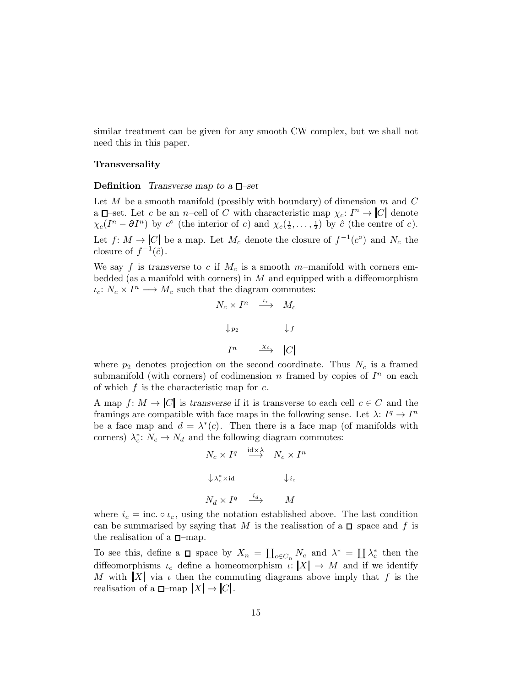similar treatment can be given for any smooth CW complex, but we shall not need this in this paper.

#### Transversality

#### **Definition** Transverse map to a  $\Box$ -set

Let M be a smooth manifold (possibly with boundary) of dimension  $m$  and  $C$ a  $\Box$ -set. Let c be an n-cell of C with characteristic map  $\chi_c: I^n \to |C|$  denote  $\chi_c(I^n - \partial I^n)$  by  $c^{\circ}$  (the interior of c) and  $\chi_c(\frac{1}{2}, \ldots, \frac{1}{2})$  by  $\hat{c}$  (the centre of c). Let  $f: M \to [C]$  be a map. Let  $M_c$  denote the closure of  $f^{-1}(c^{\circ})$  and  $N_c$  the closure of  $f^{-1}(\hat{c})$ .

We say f is transverse to c if  $M_c$  is a smooth m-manifold with corners embedded (as a manifold with corners) in  $M$  and equipped with a diffeomorphism  $\iota_c: N_c \times I^n \longrightarrow M_c$  such that the diagram commutes:

$$
N_c \times I^n \xrightarrow{\iota_c} M_c
$$
  

$$
\downarrow_{p_2} \qquad \qquad \downarrow f
$$
  

$$
I^n \xrightarrow{\chi_c} |C|
$$

where  $p_2$  denotes projection on the second coordinate. Thus  $N_c$  is a framed submanifold (with corners) of codimension n framed by copies of  $I<sup>n</sup>$  on each of which  $f$  is the characteristic map for  $c$ .

A map  $f: M \to |C|$  is transverse if it is transverse to each cell  $c \in C$  and the framings are compatible with face maps in the following sense. Let  $\lambda: I^q \to I^n$ be a face map and  $d = \lambda^*(c)$ . Then there is a face map (of manifolds with corners)  $\lambda_c^*$ :  $N_c \to N_d$  and the following diagram commutes:

$$
N_c \times I^q \stackrel{\text{id} \times \lambda}{\longrightarrow} N_c \times I^n
$$
  

$$
\downarrow \lambda_c^* \times \text{id} \qquad \downarrow i_c
$$
  

$$
N_d \times I^q \stackrel{i_d}{\longrightarrow} M
$$

where  $i_c = \text{inc.} \circ \iota_c$ , using the notation established above. The last condition can be summarised by saying that M is the realisation of a  $\Box$ -space and f is the realisation of a  $\square$ -map.

To see this, define a  $\Box$ -space by  $X_n = \coprod_{c \in C_n} N_c$  and  $\lambda^* = \coprod \lambda_c^*$  then the diffeomorphisms  $\iota_c$  define a homeomorphism  $\iota: |X| \to M$  and if we identify M with  $|X|$  via  $\iota$  then the commuting diagrams above imply that f is the realisation of a  $\Box$ -map  $|X| \to |C|$ .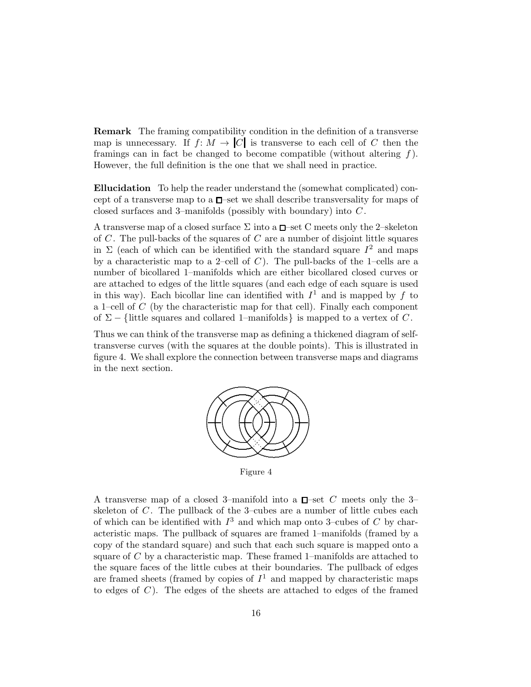Remark The framing compatibility condition in the definition of a transverse map is unnecessary. If  $f: M \to |C|$  is transverse to each cell of C then the framings can in fact be changed to become compatible (without altering  $f$ ). However, the full definition is the one that we shall need in practice.

Ellucidation To help the reader understand the (somewhat complicated) concept of a transverse map to a  $\square$ -set we shall describe transversality for maps of closed surfaces and 3–manifolds (possibly with boundary) into C .

A transverse map of a closed surface  $\Sigma$  into a  $\square$ -set C meets only the 2-skeleton of  $C$ . The pull-backs of the squares of  $C$  are a number of disjoint little squares in  $\Sigma$  (each of which can be identified with the standard square  $I^2$  and maps by a characteristic map to a 2–cell of  $C$ ). The pull-backs of the 1–cells are a number of bicollared 1–manifolds which are either bicollared closed curves or are attached to edges of the little squares (and each edge of each square is used in this way). Each bicollar line can identified with  $I<sup>1</sup>$  and is mapped by f to a 1–cell of  $C$  (by the characteristic map for that cell). Finally each component of  $\Sigma - \{\text{little squares and collared 1–manifolds}\}\$ is mapped to a vertex of C.

Thus we can think of the transverse map as defining a thickened diagram of selftransverse curves (with the squares at the double points). This is illustrated in figure 4. We shall explore the connection between transverse maps and diagrams in the next section.



Figure 4

A transverse map of a closed 3-manifold into a  $\Box$ -set C meets only the 3skeleton of  $C$ . The pullback of the 3-cubes are a number of little cubes each of which can be identified with  $I<sup>3</sup>$  and which map onto 3-cubes of C by characteristic maps. The pullback of squares are framed 1–manifolds (framed by a copy of the standard square) and such that each such square is mapped onto a square of  $C$  by a characteristic map. These framed 1–manifolds are attached to the square faces of the little cubes at their boundaries. The pullback of edges are framed sheets (framed by copies of  $I<sup>1</sup>$  and mapped by characteristic maps to edges of  $C$ ). The edges of the sheets are attached to edges of the framed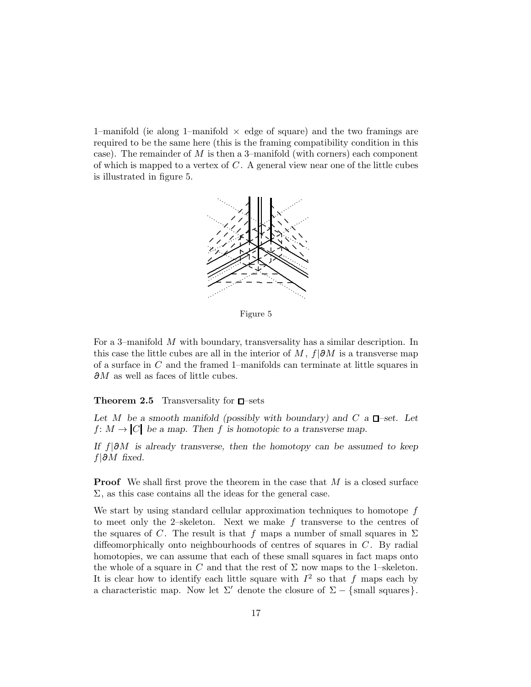1–manifold (ie along 1–manifold  $\times$  edge of square) and the two framings are required to be the same here (this is the framing compatibility condition in this case). The remainder of  $M$  is then a 3–manifold (with corners) each component of which is mapped to a vertex of  $C$ . A general view near one of the little cubes is illustrated in figure 5.



Figure 5

For a 3–manifold M with boundary, transversality has a similar description. In this case the little cubes are all in the interior of M,  $f|\partial M$  is a transverse map of a surface in C and the framed 1–manifolds can terminate at little squares in  $\partial M$  as well as faces of little cubes.

# **Theorem 2.5** Transversality for  $\Box$ -sets

Let M be a smooth manifold (possibly with boundary) and C a  $\Box$ -set. Let  $f: M \to [C]$  be a map. Then f is homotopic to a transverse map.

If  $f|\partial M$  is already transverse, then the homotopy can be assumed to keep  $f|\partial M$  fixed.

**Proof** We shall first prove the theorem in the case that  $M$  is a closed surface  $\Sigma$ , as this case contains all the ideas for the general case.

We start by using standard cellular approximation techniques to homotope  $f$ to meet only the 2–skeleton. Next we make  $f$  transverse to the centres of the squares of C. The result is that f maps a number of small squares in  $\Sigma$ diffeomorphically onto neighbourhoods of centres of squares in  $C$ . By radial homotopies, we can assume that each of these small squares in fact maps onto the whole of a square in C and that the rest of  $\Sigma$  now maps to the 1–skeleton. It is clear how to identify each little square with  $I^2$  so that f maps each by a characteristic map. Now let  $\Sigma'$  denote the closure of  $\Sigma - \{\text{small squares}\}\$ .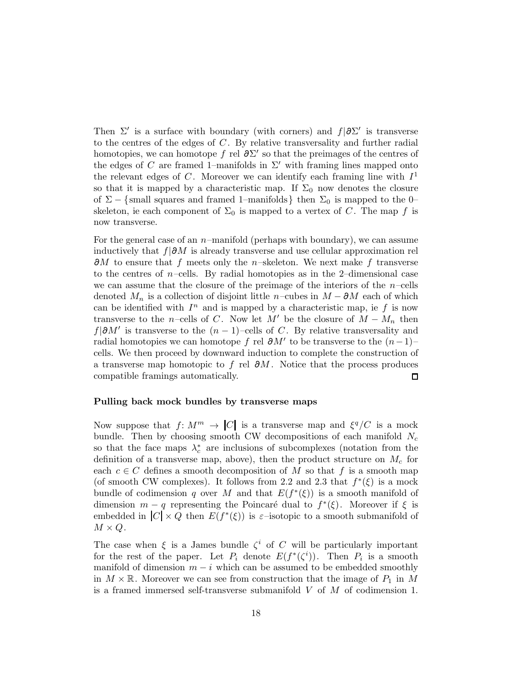Then  $\Sigma'$  is a surface with boundary (with corners) and  $f | \partial \Sigma'$  is transverse to the centres of the edges of  $C$ . By relative transversality and further radial homotopies, we can homotope f rel  $\partial \Sigma'$  so that the preimages of the centres of the edges of C are framed 1–manifolds in  $\Sigma'$  with framing lines mapped onto the relevant edges of C. Moreover we can identify each framing line with  $I<sup>1</sup>$ so that it is mapped by a characteristic map. If  $\Sigma_0$  now denotes the closure of  $\Sigma - \{\text{small squares and framed 1–manifolds}\}\$  then  $\Sigma_0$  is mapped to the 0– skeleton, ie each component of  $\Sigma_0$  is mapped to a vertex of C. The map f is now transverse.

For the general case of an  $n$ –manifold (perhaps with boundary), we can assume inductively that  $f|\partial M$  is already transverse and use cellular approximation rel  $\partial M$  to ensure that f meets only the n–skeleton. We next make f transverse to the centres of  $n$ –cells. By radial homotopies as in the 2–dimensional case we can assume that the closure of the preimage of the interiors of the  $n$ -cells denoted  $M_n$  is a collection of disjoint little n–cubes in  $M - \partial M$  each of which can be identified with  $I<sup>n</sup>$  and is mapped by a characteristic map, ie f is now transverse to the n–cells of C. Now let M' be the closure of  $M - M_n$  then  $f|\partial M'$  is transverse to the  $(n-1)$ –cells of C. By relative transversality and radial homotopies we can homotope f rel  $\partial M'$  to be transverse to the  $(n-1)$ cells. We then proceed by downward induction to complete the construction of a transverse map homotopic to f rel  $\partial M$ . Notice that the process produces compatible framings automatically. □

# Pulling back mock bundles by transverse maps

Now suppose that  $f: M^m \to |C|$  is a transverse map and  $\xi^q/C$  is a mock bundle. Then by choosing smooth CW decompositions of each manifold  $N_c$ so that the face maps  $\lambda_c^*$  are inclusions of subcomplexes (notation from the definition of a transverse map, above), then the product structure on  $M_c$  for each  $c \in C$  defines a smooth decomposition of M so that f is a smooth map (of smooth CW complexes). It follows from 2.2 and 2.3 that  $f^*(\xi)$  is a mock bundle of codimension q over M and that  $E(f^*(\xi))$  is a smooth manifold of dimension  $m - q$  representing the Poincaré dual to  $f^*(\xi)$ . Moreover if  $\xi$  is embedded in  $|C| \times Q$  then  $E(f^*(\xi))$  is  $\varepsilon$ -isotopic to a smooth submanifold of  $M \times Q$ .

The case when  $\xi$  is a James bundle  $\zeta^i$  of C will be particularly important for the rest of the paper. Let  $P_i$  denote  $E(f^*(\zeta^i))$ . Then  $P_i$  is a smooth manifold of dimension  $m - i$  which can be assumed to be embedded smoothly in  $M \times \mathbb{R}$ . Moreover we can see from construction that the image of  $P_1$  in M is a framed immersed self-transverse submanifold  $V$  of  $M$  of codimension 1.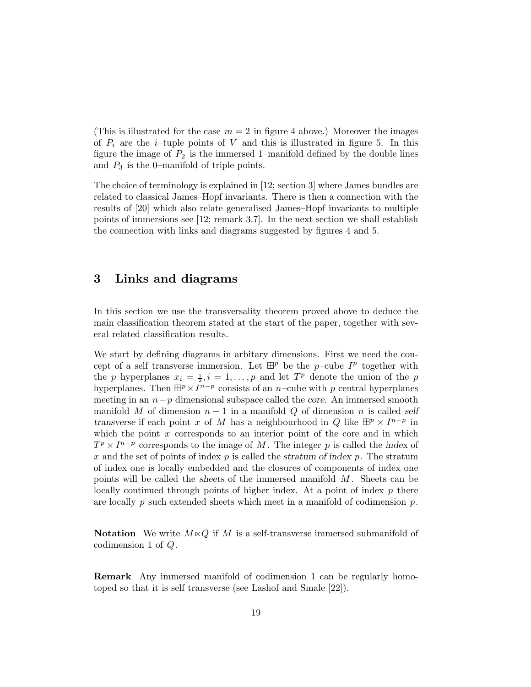(This is illustrated for the case  $m = 2$  in figure 4 above.) Moreover the images of  $P_i$  are the *i*-tuple points of V and this is illustrated in figure 5. In this figure the image of  $P_2$  is the immersed 1–manifold defined by the double lines and  $P_3$  is the 0–manifold of triple points.

The choice of terminology is explained in [12; section 3] where James bundles are related to classical James–Hopf invariants. There is then a connection with the results of [20] which also relate generalised James–Hopf invariants to multiple points of immersions see [12; remark 3.7]. In the next section we shall establish the connection with links and diagrams suggested by figures 4 and 5.

# 3 Links and diagrams

In this section we use the transversality theorem proved above to deduce the main classification theorem stated at the start of the paper, together with several related classification results.

We start by defining diagrams in arbitary dimensions. First we need the concept of a self transverse immersion. Let  $\mathbb{H}^p$  be the p-cube  $I^p$  together with the p hyperplanes  $x_i = \frac{1}{2}, i = 1, \ldots, p$  and let  $T^p$  denote the union of the p hyperplanes. Then  $\mathbb{H}^p \times I^{n-p}$  consists of an n–cube with p central hyperplanes meeting in an  $n-p$  dimensional subspace called the core. An immersed smooth manifold M of dimension  $n-1$  in a manifold Q of dimension n is called self transverse if each point x of M has a neighbourhood in Q like  $\mathbb{H}^p \times I^{n-p}$  in which the point  $x$  corresponds to an interior point of the core and in which  $T^p \times I^{n-p}$  corresponds to the image of M. The integer p is called the index of x and the set of points of index  $p$  is called the stratum of index  $p$ . The stratum of index one is locally embedded and the closures of components of index one points will be called the sheets of the immersed manifold  $M$ . Sheets can be locally continued through points of higher index. At a point of index  $p$  there are locally p such extended sheets which meet in a manifold of codimension  $p$ .

**Notation** We write  $M \times Q$  if M is a self-transverse immersed submanifold of codimension 1 of Q.

Remark Any immersed manifold of codimension 1 can be regularly homotoped so that it is self transverse (see Lashof and Smale [22]).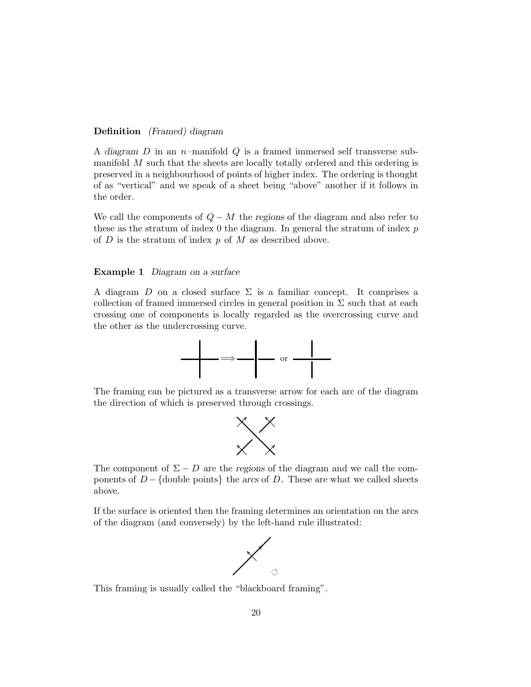# Definition (Framed) diagram

A diagram  $D$  in an n–manifold  $Q$  is a framed immersed self transverse submanifold M such that the sheets are locally totally ordered and this ordering is preserved in a neighbourhood of points of higher index. The ordering is thought of as "vertical" and we speak of a sheet being "above" another if it follows in the order.

We call the components of  $Q - M$  the regions of the diagram and also refer to these as the stratum of index 0 the diagram. In general the stratum of index  $p$ of  $D$  is the stratum of index  $p$  of  $M$  as described above.

### Example 1 Diagram on a surface

A diagram D on a closed surface  $\Sigma$  is a familiar concept. It comprises a collection of framed immersed circles in general position in  $\Sigma$  such that at each crossing one of components is locally regarded as the overcrossing curve and the other as the undercrossing curve.



The framing can be pictured as a transverse arrow for each arc of the diagram the direction of which is preserved through crossings.



The component of  $\Sigma - D$  are the regions of the diagram and we call the components of  $D - \{\text{double points}\}\$ the arcs of D. These are what we called sheets above.

If the surface is oriented then the framing determines an orientation on the arcs of the diagram (and conversely) by the left-hand rule illustrated:



This framing is usually called the "blackboard framing".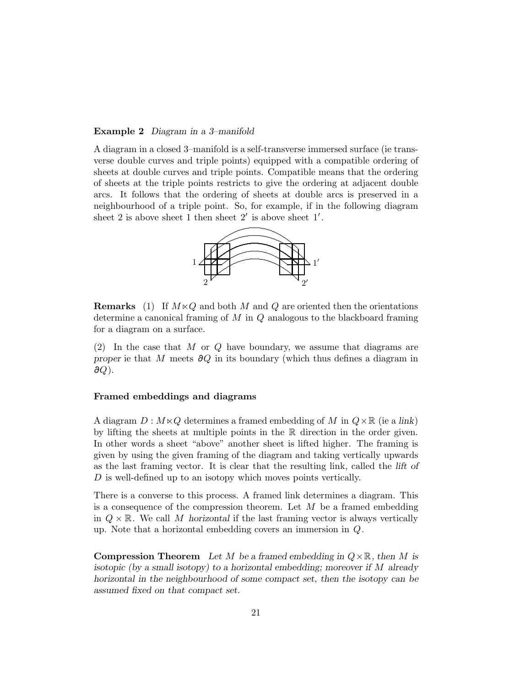### Example 2 Diagram in a 3–manifold

A diagram in a closed 3–manifold is a self-transverse immersed surface (ie transverse double curves and triple points) equipped with a compatible ordering of sheets at double curves and triple points. Compatible means that the ordering of sheets at the triple points restricts to give the ordering at adjacent double arcs. It follows that the ordering of sheets at double arcs is preserved in a neighbourhood of a triple point. So, for example, if in the following diagram sheet 2 is above sheet 1 then sheet  $2'$  is above sheet  $1'$ .



**Remarks** (1) If  $M \times Q$  and both M and Q are oriented then the orientations determine a canonical framing of  $M$  in  $Q$  analogous to the blackboard framing for a diagram on a surface.

 $(2)$  In the case that M or Q have boundary, we assume that diagrams are proper ie that M meets  $\partial Q$  in its boundary (which thus defines a diagram in  $\partial Q$ ).

# Framed embeddings and diagrams

A diagram  $D : M \times Q$  determines a framed embedding of M in  $Q \times \mathbb{R}$  (ie a link) by lifting the sheets at multiple points in the R direction in the order given. In other words a sheet "above" another sheet is lifted higher. The framing is given by using the given framing of the diagram and taking vertically upwards as the last framing vector. It is clear that the resulting link, called the lift of D is well-defined up to an isotopy which moves points vertically.

There is a converse to this process. A framed link determines a diagram. This is a consequence of the compression theorem. Let  $M$  be a framed embedding in  $Q \times \mathbb{R}$ . We call M horizontal if the last framing vector is always vertically up. Note that a horizontal embedding covers an immersion in Q.

**Compression Theorem** Let M be a framed embedding in  $Q \times \mathbb{R}$ , then M is isotopic (by a small isotopy) to a horizontal embedding; moreover if M already horizontal in the neighbourhood of some compact set, then the isotopy can be assumed fixed on that compact set.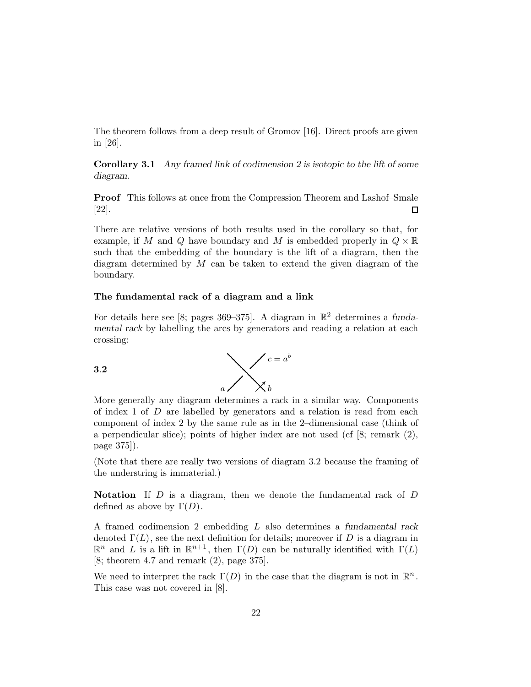The theorem follows from a deep result of Gromov [16]. Direct proofs are given in [26].

Corollary 3.1 Any framed link of codimension 2 is isotopic to the lift of some diagram.

Proof This follows at once from the Compression Theorem and Lashof–Smale [22].  $\Box$ 

There are relative versions of both results used in the corollary so that, for example, if M and Q have boundary and M is embedded properly in  $Q \times \mathbb{R}$ such that the embedding of the boundary is the lift of a diagram, then the diagram determined by  $M$  can be taken to extend the given diagram of the boundary.

### The fundamental rack of a diagram and a link

For details here see [8; pages 369–375]. A diagram in  $\mathbb{R}^2$  determines a fundamental rack by labelling the arcs by generators and reading a relation at each crossing:

3.2



More generally any diagram determines a rack in a similar way. Components of index 1 of  $D$  are labelled by generators and a relation is read from each component of index 2 by the same rule as in the 2–dimensional case (think of a perpendicular slice); points of higher index are not used (cf [8; remark (2), page 375]).

(Note that there are really two versions of diagram 3.2 because the framing of the understring is immaterial.)

Notation If  $D$  is a diagram, then we denote the fundamental rack of  $D$ defined as above by  $\Gamma(D)$ .

A framed codimension 2 embedding L also determines a fundamental rack denoted  $\Gamma(L)$ , see the next definition for details; moreover if D is a diagram in  $\mathbb{R}^n$  and L is a lift in  $\mathbb{R}^{n+1}$ , then  $\Gamma(D)$  can be naturally identified with  $\Gamma(L)$ [8; theorem 4.7 and remark (2), page 375].

We need to interpret the rack  $\Gamma(D)$  in the case that the diagram is not in  $\mathbb{R}^n$ . This case was not covered in [8].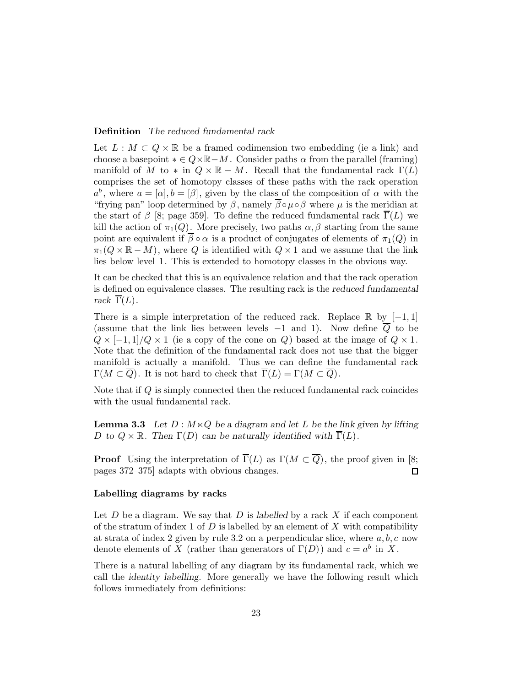## Definition The reduced fundamental rack

Let  $L : M \subset Q \times \mathbb{R}$  be a framed codimension two embedding (ie a link) and choose a basepoint  $* \in Q \times \mathbb{R} - M$ . Consider paths  $\alpha$  from the parallel (framing) manifold of M to  $*$  in  $Q \times \mathbb{R} - M$ . Recall that the fundamental rack  $\Gamma(L)$ comprises the set of homotopy classes of these paths with the rack operation  $a^b$ , where  $a = [\alpha], b = [\beta]$ , given by the class of the composition of  $\alpha$  with the "frying pan" loop determined by  $\beta$ , namely  $\overline{\beta} \circ \mu \circ \beta$  where  $\mu$  is the meridian at the start of  $\beta$  [8; page 359]. To define the reduced fundamental rack  $\overline{\Gamma}(L)$  we kill the action of  $\pi_1(Q)$ . More precisely, two paths  $\alpha, \beta$  starting from the same point are equivalent if  $\overline{\beta} \circ \alpha$  is a product of conjugates of elements of  $\pi_1(Q)$  in  $\pi_1(Q \times \mathbb{R} - M)$ , where Q is identified with  $Q \times 1$  and we assume that the link lies below level 1. This is extended to homotopy classes in the obvious way.

It can be checked that this is an equivalence relation and that the rack operation is defined on equivalence classes. The resulting rack is the reduced fundamental rack  $\overline{\Gamma}(L)$ .

There is a simple interpretation of the reduced rack. Replace  $\mathbb{R}$  by  $[-1,1]$ (assume that the link lies between levels  $-1$  and 1). Now define  $\overline{Q}$  to be  $Q \times [-1,1]/Q \times 1$  (ie a copy of the cone on Q) based at the image of  $Q \times 1$ . Note that the definition of the fundamental rack does not use that the bigger manifold is actually a manifold. Thus we can define the fundamental rack  $\Gamma(M\subset\overline{Q})$ . It is not hard to check that  $\overline{\Gamma}(L)=\Gamma(M\subset\overline{Q})$ .

Note that if Q is simply connected then the reduced fundamental rack coincides with the usual fundamental rack.

**Lemma 3.3** Let  $D : M \times Q$  be a diagram and let L be the link given by lifting D to  $Q \times \mathbb{R}$ . Then  $\Gamma(D)$  can be naturally identified with  $\overline{\Gamma}(L)$ .

**Proof** Using the interpretation of  $\overline{\Gamma}(L)$  as  $\Gamma(M \subset \overline{Q})$ , the proof given in [8; pages 372–375] adapts with obvious changes.  $\Box$ 

## Labelling diagrams by racks

Let  $D$  be a diagram. We say that  $D$  is labelled by a rack  $X$  if each component of the stratum of index 1 of  $D$  is labelled by an element of  $X$  with compatibility at strata of index 2 given by rule 3.2 on a perpendicular slice, where  $a, b, c$  now denote elements of X (rather than generators of  $\Gamma(D)$ ) and  $c = a^b$  in X.

There is a natural labelling of any diagram by its fundamental rack, which we call the identity labelling. More generally we have the following result which follows immediately from definitions: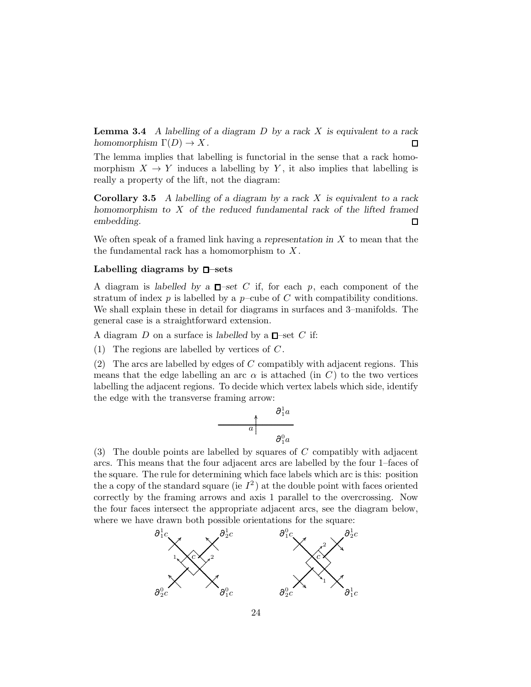**Lemma 3.4** A labelling of a diagram  $D$  by a rack  $X$  is equivalent to a rack homomorphism  $\Gamma(D) \to X$ . П

The lemma implies that labelling is functorial in the sense that a rack homomorphism  $X \to Y$  induces a labelling by Y, it also implies that labelling is really a property of the lift, not the diagram:

**Corollary 3.5** A labelling of a diagram by a rack  $X$  is equivalent to a rack homomorphism to  $X$  of the reduced fundamental rack of the lifted framed embedding.  $\Box$ 

We often speak of a framed link having a representation in  $X$  to mean that the the fundamental rack has a homomorphism to  $X$ .

## Labelling diagrams by  $\Box$ -sets

A diagram is labelled by a  $\Box$ -set C if, for each p, each component of the stratum of index  $p$  is labelled by a  $p$ -cube of  $C$  with compatibility conditions. We shall explain these in detail for diagrams in surfaces and 3–manifolds. The general case is a straightforward extension.

A diagram D on a surface is labelled by a  $\square$ -set C if:

(1) The regions are labelled by vertices of  $C$ .

(2) The arcs are labelled by edges of  $C$  compatibly with adjacent regions. This means that the edge labelling an arc  $\alpha$  is attached (in C) to the two vertices labelling the adjacent regions. To decide which vertex labels which side, identify the edge with the transverse framing arrow:

$$
\begin{array}{c|c}\n & \partial_1^1 a \\
a & \\
\hline\n\partial_1^0 a\n\end{array}
$$

(3) The double points are labelled by squares of  $C$  compatibly with adjacent arcs. This means that the four adjacent arcs are labelled by the four 1–faces of the square. The rule for determining which face labels which arc is this: position the a copy of the standard square (ie  $I^2$ ) at the double point with faces oriented correctly by the framing arrows and axis 1 parallel to the overcrossing. Now the four faces intersect the appropriate adjacent arcs, see the diagram below, where we have drawn both possible orientations for the square:

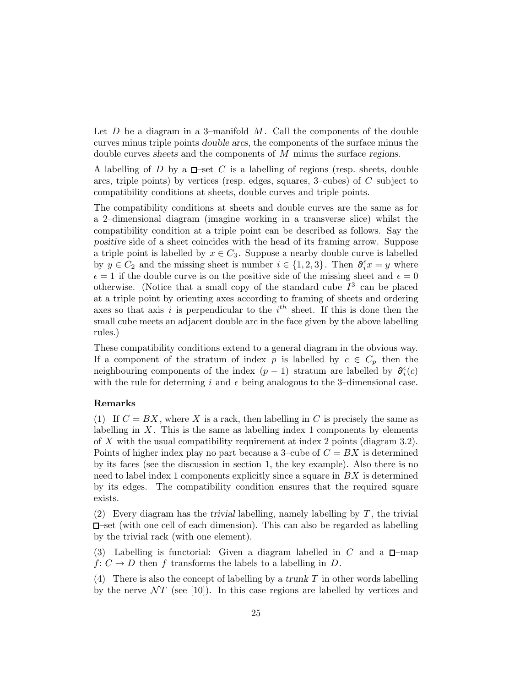Let  $D$  be a diagram in a 3-manifold  $M$ . Call the components of the double curves minus triple points double arcs, the components of the surface minus the double curves sheets and the components of M minus the surface regions.

A labelling of D by a  $\Box$ -set C is a labelling of regions (resp. sheets, double arcs, triple points) by vertices (resp. edges, squares, 3–cubes) of C subject to compatibility conditions at sheets, double curves and triple points.

The compatibility conditions at sheets and double curves are the same as for a 2–dimensional diagram (imagine working in a transverse slice) whilst the compatibility condition at a triple point can be described as follows. Say the positive side of a sheet coincides with the head of its framing arrow. Suppose a triple point is labelled by  $x \in C_3$ . Suppose a nearby double curve is labelled by  $y \in C_2$  and the missing sheet is number  $i \in \{1, 2, 3\}$ . Then  $\partial_i^{\epsilon} x = y$  where  $\epsilon = 1$  if the double curve is on the positive side of the missing sheet and  $\epsilon = 0$ otherwise. (Notice that a small copy of the standard cube  $I<sup>3</sup>$  can be placed at a triple point by orienting axes according to framing of sheets and ordering axes so that axis i is perpendicular to the  $i<sup>th</sup>$  sheet. If this is done then the small cube meets an adjacent double arc in the face given by the above labelling rules.)

These compatibility conditions extend to a general diagram in the obvious way. If a component of the stratum of index p is labelled by  $c \in C_p$  then the neighbouring components of the index  $(p-1)$  stratum are labelled by  $\partial_i^{\epsilon}(c)$ with the rule for determing i and  $\epsilon$  being analogous to the 3-dimensional case.

# Remarks

(1) If  $C = BX$ , where X is a rack, then labelling in C is precisely the same as labelling in  $X$ . This is the same as labelling index 1 components by elements of X with the usual compatibility requirement at index 2 points (diagram 3.2). Points of higher index play no part because a 3–cube of  $C = BX$  is determined by its faces (see the discussion in section 1, the key example). Also there is no need to label index 1 components explicitly since a square in  $BX$  is determined by its edges. The compatibility condition ensures that the required square exists.

(2) Every diagram has the trivial labelling, namely labelling by  $T$ , the trivial –set (with one cell of each dimension). This can also be regarded as labelling by the trivial rack (with one element).

(3) Labelling is functorial: Given a diagram labelled in C and a  $\Box$ -map  $f: C \to D$  then f transforms the labels to a labelling in D.

(4) There is also the concept of labelling by a trunk  $T$  in other words labelling by the nerve  $\mathcal{N}$  (see [10]). In this case regions are labelled by vertices and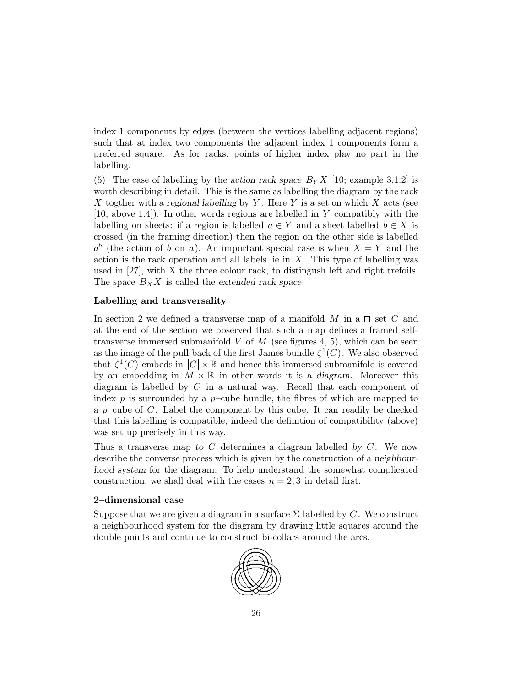index 1 components by edges (between the vertices labelling adjacent regions) such that at index two components the adjacent index 1 components form a preferred square. As for racks, points of higher index play no part in the labelling.

(5) The case of labelling by the action rack space  $B_Y X$  [10; example 3.1.2] is worth describing in detail. This is the same as labelling the diagram by the rack X togther with a regional labelling by Y. Here Y is a set on which X acts (see [10; above 1.4]). In other words regions are labelled in Y compatibly with the labelling on sheets: if a region is labelled  $a \in Y$  and a sheet labelled  $b \in X$  is crossed (in the framing direction) then the region on the other side is labelled  $a^b$  (the action of b on a). An important special case is when  $X = Y$  and the action is the rack operation and all labels lie in  $X$ . This type of labelling was used in [27], with X the three colour rack, to distingush left and right trefoils. The space  $B_X X$  is called the extended rack space.

# Labelling and transversality

In section 2 we defined a transverse map of a manifold M in a  $\square$ -set C and at the end of the section we observed that such a map defines a framed selftransverse immersed submanifold  $V$  of  $M$  (see figures 4, 5), which can be seen as the image of the pull-back of the first James bundle  $\zeta^1(C)$ . We also observed that  $\zeta^1(C)$  embeds in  $|C| \times \mathbb{R}$  and hence this immersed submanifold is covered by an embedding in  $M \times \mathbb{R}$  in other words it is a diagram. Moreover this diagram is labelled by  $C$  in a natural way. Recall that each component of index  $p$  is surrounded by a  $p$ –cube bundle, the fibres of which are mapped to a  $p$ -cube of C. Label the component by this cube. It can readily be checked that this labelling is compatible, indeed the definition of compatibility (above) was set up precisely in this way.

Thus a transverse map to C determines a diagram labelled by  $C$ . We now describe the converse process which is given by the construction of a neighbourhood system for the diagram. To help understand the somewhat complicated construction, we shall deal with the cases  $n = 2, 3$  in detail first.

# 2–dimensional case

Suppose that we are given a diagram in a surface  $\Sigma$  labelled by C. We construct a neighbourhood system for the diagram by drawing little squares around the double points and continue to construct bi-collars around the arcs.

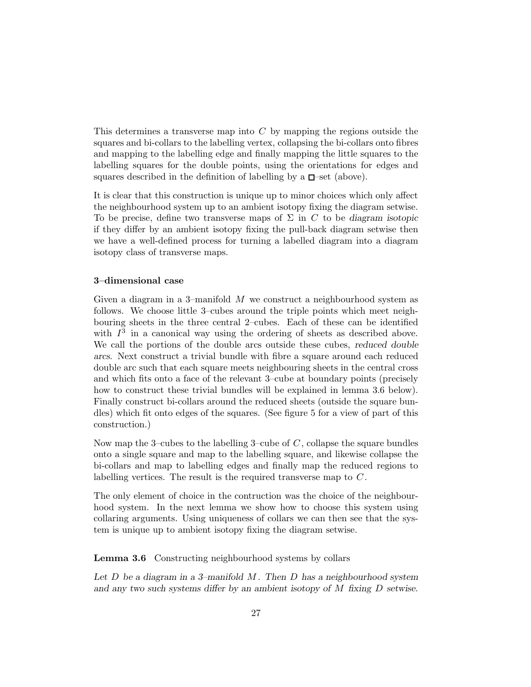This determines a transverse map into  $C$  by mapping the regions outside the squares and bi-collars to the labelling vertex, collapsing the bi-collars onto fibres and mapping to the labelling edge and finally mapping the little squares to the labelling squares for the double points, using the orientations for edges and squares described in the definition of labelling by a  $\square$ -set (above).

It is clear that this construction is unique up to minor choices which only affect the neighbourhood system up to an ambient isotopy fixing the diagram setwise. To be precise, define two transverse maps of  $\Sigma$  in C to be diagram isotopic if they differ by an ambient isotopy fixing the pull-back diagram setwise then we have a well-defined process for turning a labelled diagram into a diagram isotopy class of transverse maps.

# 3–dimensional case

Given a diagram in a 3-manifold  $M$  we construct a neighbourhood system as follows. We choose little 3–cubes around the triple points which meet neighbouring sheets in the three central 2–cubes. Each of these can be identified with  $I<sup>3</sup>$  in a canonical way using the ordering of sheets as described above. We call the portions of the double arcs outside these cubes, reduced double arcs. Next construct a trivial bundle with fibre a square around each reduced double arc such that each square meets neighbouring sheets in the central cross and which fits onto a face of the relevant 3–cube at boundary points (precisely how to construct these trivial bundles will be explained in lemma 3.6 below). Finally construct bi-collars around the reduced sheets (outside the square bundles) which fit onto edges of the squares. (See figure 5 for a view of part of this construction.)

Now map the 3–cubes to the labelling 3–cube of  $C$ , collapse the square bundles onto a single square and map to the labelling square, and likewise collapse the bi-collars and map to labelling edges and finally map the reduced regions to labelling vertices. The result is the required transverse map to  $C$ .

The only element of choice in the contruction was the choice of the neighbourhood system. In the next lemma we show how to choose this system using collaring arguments. Using uniqueness of collars we can then see that the system is unique up to ambient isotopy fixing the diagram setwise.

Lemma 3.6 Constructing neighbourhood systems by collars

Let  $D$  be a diagram in a 3-manifold  $M$ . Then  $D$  has a neighbourhood system and any two such systems differ by an ambient isotopy of M fixing D setwise.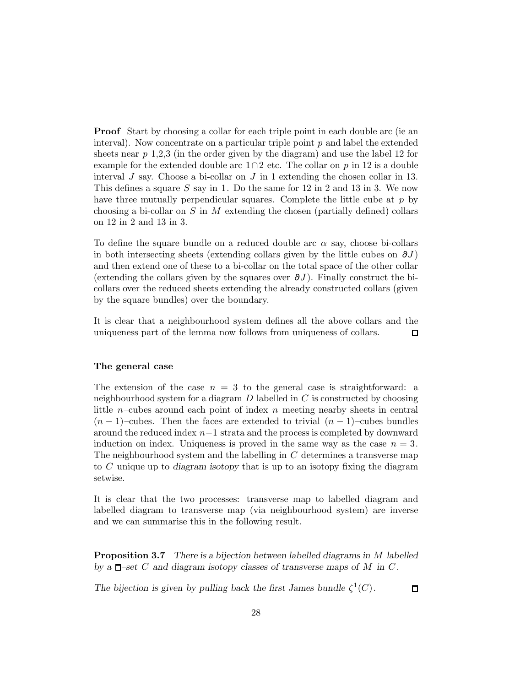**Proof** Start by choosing a collar for each triple point in each double arc (ie an interval). Now concentrate on a particular triple point  $p$  and label the extended sheets near  $p\,1,2,3$  (in the order given by the diagram) and use the label 12 for example for the extended double arc  $1 \cap 2$  etc. The collar on p in 12 is a double interval  $J$  say. Choose a bi-collar on  $J$  in 1 extending the chosen collar in 13. This defines a square S say in 1. Do the same for  $12$  in 2 and  $13$  in 3. We now have three mutually perpendicular squares. Complete the little cube at  $p$  by choosing a bi-collar on S in M extending the chosen (partially defined) collars on 12 in 2 and 13 in 3.

To define the square bundle on a reduced double arc  $\alpha$  say, choose bi-collars in both intersecting sheets (extending collars given by the little cubes on  $\partial J$ ) and then extend one of these to a bi-collar on the total space of the other collar (extending the collars given by the squares over  $\partial J$ ). Finally construct the bicollars over the reduced sheets extending the already constructed collars (given by the square bundles) over the boundary.

It is clear that a neighbourhood system defines all the above collars and the uniqueness part of the lemma now follows from uniqueness of collars.  $\Box$ 

# The general case

The extension of the case  $n = 3$  to the general case is straightforward: a neighbourhood system for a diagram  $D$  labelled in  $C$  is constructed by choosing little  $n$ -cubes around each point of index  $n$  meeting nearby sheets in central  $(n-1)$ –cubes. Then the faces are extended to trivial  $(n-1)$ –cubes bundles around the reduced index n−1 strata and the process is completed by downward induction on index. Uniqueness is proved in the same way as the case  $n = 3$ . The neighbourhood system and the labelling in C determines a transverse map to C unique up to diagram isotopy that is up to an isotopy fixing the diagram setwise.

It is clear that the two processes: transverse map to labelled diagram and labelled diagram to transverse map (via neighbourhood system) are inverse and we can summarise this in the following result.

**Proposition 3.7** There is a bijection between labelled diagrams in M labelled by a  $\Box$ -set C and diagram isotopy classes of transverse maps of M in C.

The bijection is given by pulling back the first James bundle  $\zeta^1(C)$ .

 $\Box$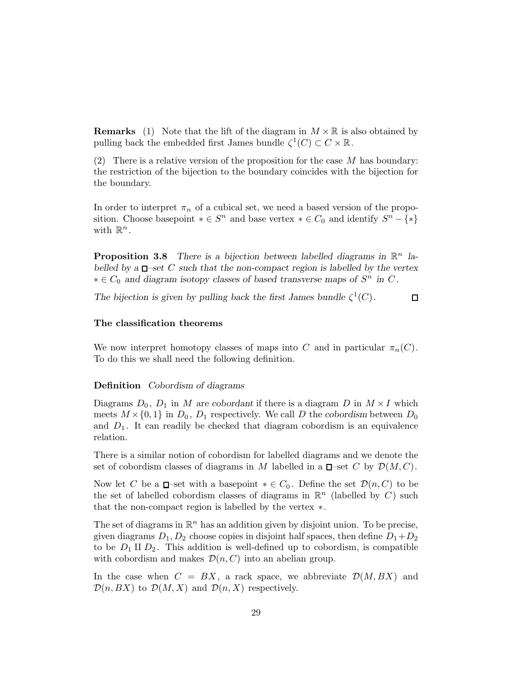**Remarks** (1) Note that the lift of the diagram in  $M \times \mathbb{R}$  is also obtained by pulling back the embedded first James bundle  $\zeta^1(C) \subset C \times \mathbb{R}$ .

(2) There is a relative version of the proposition for the case  $M$  has boundary: the restriction of the bijection to the boundary coincides with the bijection for the boundary.

In order to interpret  $\pi_n$  of a cubical set, we need a based version of the proposition. Choose basepoint  $* \in S^n$  and base vertex  $* \in C_0$  and identify  $S^n - \{*\}$ with  $\mathbb{R}^n$ .

**Proposition 3.8** There is a bijection between labelled diagrams in  $\mathbb{R}^n$  labelled by a  $\Box$ -set C such that the non-compact region is labelled by the vertex  $* \in C_0$  and diagram isotopy classes of based transverse maps of  $S^n$  in C.

The bijection is given by pulling back the first James bundle  $\zeta^1(C)$ .  $\Box$ 

# The classification theorems

We now interpret homotopy classes of maps into C and in particular  $\pi_n(C)$ . To do this we shall need the following definition.

# Definition Cobordism of diagrams

Diagrams  $D_0$ ,  $D_1$  in M are cobordant if there is a diagram D in  $M \times I$  which meets  $M \times \{0, 1\}$  in  $D_0$ ,  $D_1$  respectively. We call D the cobordism between  $D_0$ and  $D_1$ . It can readily be checked that diagram cobordism is an equivalence relation.

There is a similar notion of cobordism for labelled diagrams and we denote the set of cobordism classes of diagrams in M labelled in a  $\Box$ -set C by  $\mathcal{D}(M, C)$ .

Now let C be a  $\Box$ –set with a basepoint  $* \in C_0$ . Define the set  $\mathcal{D}(n, C)$  to be the set of labelled cobordism classes of diagrams in  $\mathbb{R}^n$  (labelled by C) such that the non-compact region is labelled by the vertex ∗.

The set of diagrams in  $\mathbb{R}^n$  has an addition given by disjoint union. To be precise, given diagrams  $D_1, D_2$  choose copies in disjoint half spaces, then define  $D_1+D_2$ to be  $D_1 \amalg D_2$ . This addition is well-defined up to cobordism, is compatible with cobordism and makes  $\mathcal{D}(n, C)$  into an abelian group.

In the case when  $C = BX$ , a rack space, we abbreviate  $\mathcal{D}(M, BX)$  and  $\mathcal{D}(n, BX)$  to  $\mathcal{D}(M, X)$  and  $\mathcal{D}(n, X)$  respectively.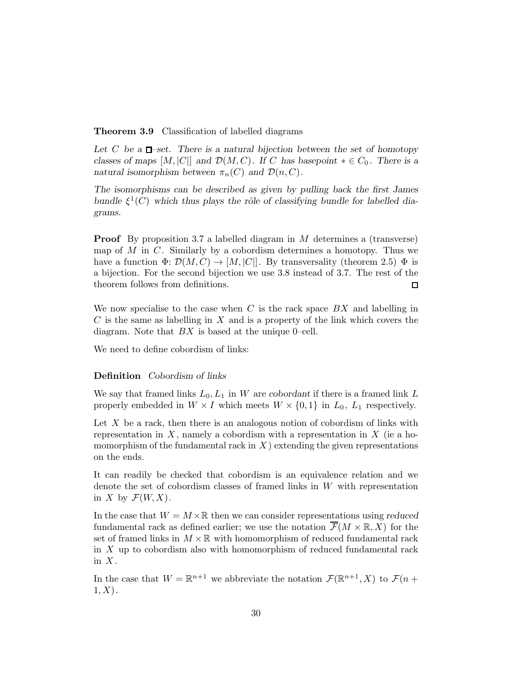### Theorem 3.9 Classification of labelled diagrams

Let C be a  $\Box$ -set. There is a natural bijection between the set of homotopy classes of maps  $[M, |C|]$  and  $\mathcal{D}(M, C)$ . If C has basepoint  $* \in C_0$ . There is a natural isomorphism between  $\pi_n(C)$  and  $\mathcal{D}(n, C)$ .

The isomorphisms can be described as given by pulling back the first James bundle  $\xi^1(C)$  which thus plays the rôle of classifying bundle for labelled diagrams.

**Proof** By proposition 3.7 a labelled diagram in  $M$  determines a (transverse) map of  $M$  in  $C$ . Similarly by a cobordism determines a homotopy. Thus we have a function  $\Phi: \mathcal{D}(M, C) \to [M, |C|]$ . By transversality (theorem 2.5)  $\Phi$  is a bijection. For the second bijection we use 3.8 instead of 3.7. The rest of the theorem follows from definitions.  $\Box$ 

We now specialise to the case when  $C$  is the rack space  $BX$  and labelling in  $C$  is the same as labelling in  $X$  and is a property of the link which covers the diagram. Note that  $BX$  is based at the unique 0–cell.

We need to define cobordism of links:

### Definition Cobordism of links

We say that framed links  $L_0, L_1$  in W are cobordant if there is a framed link L properly embedded in  $W \times I$  which meets  $W \times \{0,1\}$  in  $L_0$ ,  $L_1$  respectively.

Let  $X$  be a rack, then there is an analogous notion of cobordism of links with representation in  $X$ , namely a cobordism with a representation in  $X$  (ie a homomorphism of the fundamental rack in  $X$ ) extending the given representations on the ends.

It can readily be checked that cobordism is an equivalence relation and we denote the set of cobordism classes of framed links in W with representation in X by  $\mathcal{F}(W,X)$ .

In the case that  $W = M \times \mathbb{R}$  then we can consider representations using reduced fundamental rack as defined earlier; we use the notation  $\overline{\mathcal{F}}(M\times\mathbb{R},X)$  for the set of framed links in  $M \times \mathbb{R}$  with homomorphism of reduced fundamental rack in X up to cobordism also with homomorphism of reduced fundamental rack in  $X$ .

In the case that  $W = \mathbb{R}^{n+1}$  we abbreviate the notation  $\mathcal{F}(\mathbb{R}^{n+1}, X)$  to  $\mathcal{F}(n+1)$  $(1, X)$ .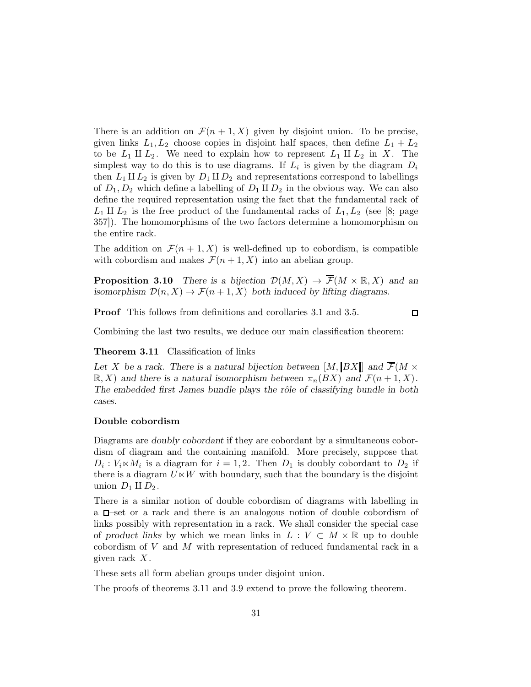There is an addition on  $\mathcal{F}(n+1,X)$  given by disjoint union. To be precise, given links  $L_1, L_2$  choose copies in disjoint half spaces, then define  $L_1 + L_2$ to be  $L_1 \amalg L_2$ . We need to explain how to represent  $L_1 \amalg L_2$  in X. The simplest way to do this is to use diagrams. If  $L_i$  is given by the diagram  $D_i$ then  $L_1 \amalg L_2$  is given by  $D_1 \amalg D_2$  and representations correspond to labellings of  $D_1, D_2$  which define a labelling of  $D_1 \amalg D_2$  in the obvious way. We can also define the required representation using the fact that the fundamental rack of  $L_1$  II  $L_2$  is the free product of the fundamental racks of  $L_1, L_2$  (see [8; page 357]). The homomorphisms of the two factors determine a homomorphism on the entire rack.

The addition on  $\mathcal{F}(n+1,X)$  is well-defined up to cobordism, is compatible with cobordism and makes  $\mathcal{F}(n+1, X)$  into an abelian group.

**Proposition 3.10** There is a bijection  $\mathcal{D}(M, X) \to \overline{\mathcal{F}}(M \times \mathbb{R}, X)$  and an isomorphism  $\mathcal{D}(n, X) \to \mathcal{F}(n+1, X)$  both induced by lifting diagrams.

Proof This follows from definitions and corollaries 3.1 and 3.5.

 $\Box$ 

Combining the last two results, we deduce our main classification theorem:

Theorem 3.11 Classification of links

Let X be a rack. There is a natural bijection between  $[M, BX]]$  and  $\overline{\mathcal{F}}(M \times$  $\mathbb{R}, X$ ) and there is a natural isomorphism between  $\pi_n(BX)$  and  $\mathcal{F}(n+1, X)$ . The embedded first James bundle plays the rôle of classifying bundle in both cases.

#### Double cobordism

Diagrams are doubly cobordant if they are cobordant by a simultaneous cobordism of diagram and the containing manifold. More precisely, suppose that  $D_i: V_i \times M_i$  is a diagram for  $i = 1, 2$ . Then  $D_1$  is doubly cobordant to  $D_2$  if there is a diagram  $U \ltimes W$  with boundary, such that the boundary is the disjoint union  $D_1 \amalg D_2$ .

There is a similar notion of double cobordism of diagrams with labelling in a  $\Box$ -set or a rack and there is an analogous notion of double cobordism of links possibly with representation in a rack. We shall consider the special case of product links by which we mean links in  $L: V \subset M \times \mathbb{R}$  up to double cobordism of V and M with representation of reduced fundamental rack in a given rack  $X$ .

These sets all form abelian groups under disjoint union.

The proofs of theorems 3.11 and 3.9 extend to prove the following theorem.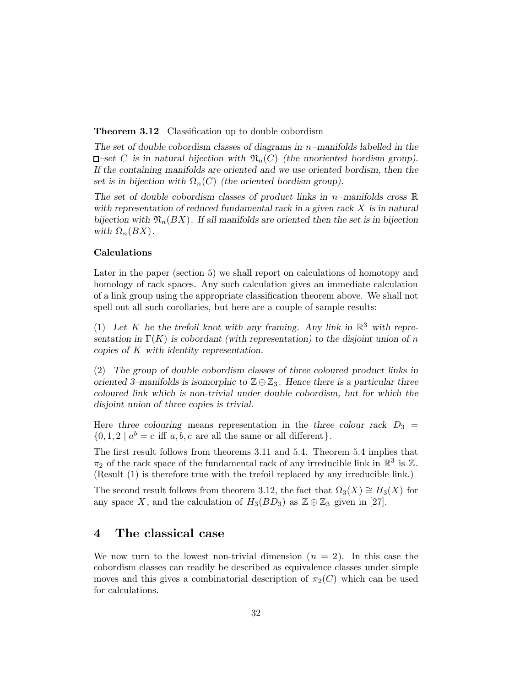**Theorem 3.12** Classification up to double cobordism

The set of double cobordism classes of diagrams in  $n$ -manifolds labelled in the  $\Box$ -set C is in natural bijection with  $\mathfrak{N}_n(C)$  (the unoriented bordism group). If the containing manifolds are oriented and we use oriented bordism, then the set is in bijection with  $\Omega_n(C)$  (the oriented bordism group).

The set of double cobordism classes of product links in  $n$ -manifolds cross  $\mathbb R$ with representation of reduced fundamental rack in a given rack  $X$  is in natural bijection with  $\mathfrak{N}_n(BX)$ . If all manifolds are oriented then the set is in bijection with  $\Omega_n(BX)$ .

# Calculations

Later in the paper (section 5) we shall report on calculations of homotopy and homology of rack spaces. Any such calculation gives an immediate calculation of a link group using the appropriate classification theorem above. We shall not spell out all such corollaries, but here are a couple of sample results:

(1) Let K be the trefoil knot with any framing. Any link in  $\mathbb{R}^3$  with representation in  $\Gamma(K)$  is cobordant (with representation) to the disjoint union of n copies of K with identity representation.

(2) The group of double cobordism classes of three coloured product links in oriented 3–manifolds is isomorphic to  $\mathbb{Z} \oplus \mathbb{Z}_3$ . Hence there is a particular three coloured link which is non-trivial under double cobordism, but for which the disjoint union of three copies is trivial.

Here three colouring means representation in the three colour rack  $D_3 =$  $\{0, 1, 2 \mid a^b = c \text{ iff } a, b, c \text{ are all the same or all different}\}.$ 

The first result follows from theorems 3.11 and 5.4. Theorem 5.4 implies that  $\pi_2$  of the rack space of the fundamental rack of any irreducible link in  $\mathbb{R}^3$  is  $\mathbb{Z}$ . (Result (1) is therefore true with the trefoil replaced by any irreducible link.)

The second result follows from theorem 3.12, the fact that  $\Omega_3(X) \cong H_3(X)$  for any space X, and the calculation of  $H_3(BD_3)$  as  $\mathbb{Z} \oplus \mathbb{Z}_3$  given in [27].

# 4 The classical case

We now turn to the lowest non-trivial dimension  $(n = 2)$ . In this case the cobordism classes can readily be described as equivalence classes under simple moves and this gives a combinatorial description of  $\pi_2(C)$  which can be used for calculations.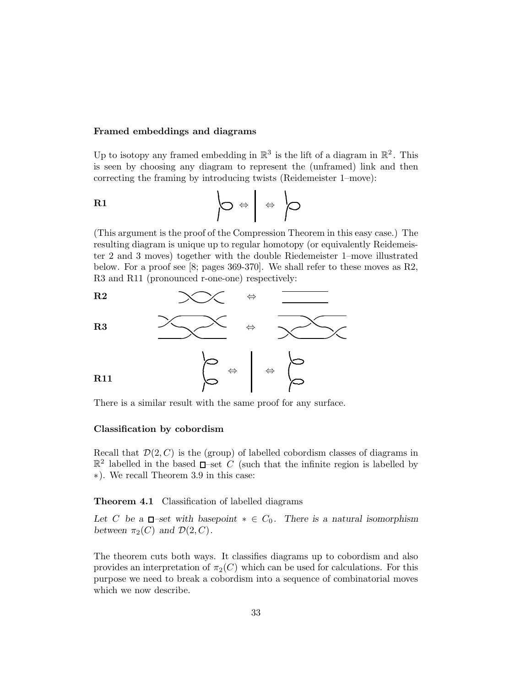#### Framed embeddings and diagrams

Up to isotopy any framed embedding in  $\mathbb{R}^3$  is the lift of a diagram in  $\mathbb{R}^2$ . This is seen by choosing any diagram to represent the (unframed) link and then correcting the framing by introducing twists (Reidemeister 1–move):

R1 . ...... ..... . ⇔ ⇔ . ...... ..... .

(This argument is the proof of the Compression Theorem in this easy case.) The resulting diagram is unique up to regular homotopy (or equivalently Reidemeister 2 and 3 moves) together with the double Riedemeister 1–move illustrated below. For a proof see [8; pages 369-370]. We shall refer to these moves as R2, R3 and R11 (pronounced r-one-one) respectively:



There is a similar result with the same proof for any surface.

# Classification by cobordism

Recall that  $\mathcal{D}(2, C)$  is the (group) of labelled cobordism classes of diagrams in  $\mathbb{R}^2$  labelled in the based  $\Box$ -set C (such that the infinite region is labelled by ∗). We recall Theorem 3.9 in this case:

Theorem 4.1 Classification of labelled diagrams

Let C be a  $\Box$ -set with basepoint  $* \in C_0$ . There is a natural isomorphism between  $\pi_2(C)$  and  $\mathcal{D}(2, C)$ .

The theorem cuts both ways. It classifies diagrams up to cobordism and also provides an interpretation of  $\pi_2(C)$  which can be used for calculations. For this purpose we need to break a cobordism into a sequence of combinatorial moves which we now describe.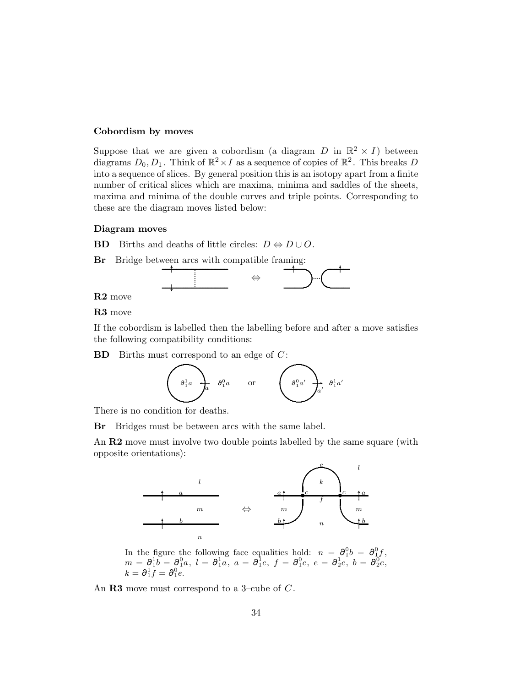#### Cobordism by moves

Suppose that we are given a cobordism (a diagram D in  $\mathbb{R}^2 \times I$ ) between diagrams  $D_0, D_1$ . Think of  $\mathbb{R}^2 \times I$  as a sequence of copies of  $\mathbb{R}^2$ . This breaks  $D$ into a sequence of slices. By general position this is an isotopy apart from a finite number of critical slices which are maxima, minima and saddles of the sheets, maxima and minima of the double curves and triple points. Corresponding to these are the diagram moves listed below:

# Diagram moves

**BD** Births and deaths of little circles:  $D \Leftrightarrow D \cup O$ .



# R2 move

# R3 move

If the cobordism is labelled then the labelling before and after a move satisfies the following compatibility conditions:

 $BD$  Births must correspond to an edge of  $C$ :



There is no condition for deaths.

Br Bridges must be between arcs with the same label.

An R2 move must involve two double points labelled by the same square (with opposite orientations):



In the figure the following face equalities hold:  $n = \partial_1^0 b = \partial_1^0 f$ ,<br>  $m = \partial_1^1 b = \partial_1^0 a$ ,  $l = \partial_1^1 a$ ,  $a = \partial_1^1 c$ ,  $f = \partial_1^0 c$ ,  $e = \partial_2^1 c$ ,  $b = \partial_2^0 c$ ,<br>  $k = \partial_1^1 f = \partial_1^0 e$ .

An  **move must correspond to a 3-cube of**  $C$ **.**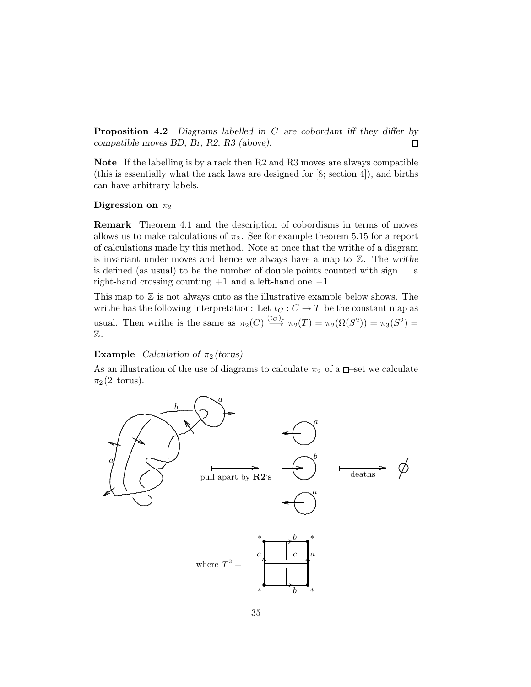**Proposition 4.2** Diagrams labelled in  $C$  are cobordant iff they differ by compatible moves BD, Br, R2, R3 (above).  $\Box$ 

Note If the labelling is by a rack then R2 and R3 moves are always compatible (this is essentially what the rack laws are designed for [8; section 4]), and births can have arbitrary labels.

### Digression on  $\pi_2$

Remark Theorem 4.1 and the description of cobordisms in terms of moves allows us to make calculations of  $\pi_2$ . See for example theorem 5.15 for a report of calculations made by this method. Note at once that the writhe of a diagram is invariant under moves and hence we always have a map to  $\mathbb{Z}$ . The writhe is defined (as usual) to be the number of double points counted with sign  $-$  a right-hand crossing counting  $+1$  and a left-hand one  $-1$ .

This map to  $\mathbb Z$  is not always onto as the illustrative example below shows. The writhe has the following interpretation: Let  $t<sub>C</sub>: C \rightarrow T$  be the constant map as usual. Then writhe is the same as  $\pi_2(C) \stackrel{(t_C)_*}{\longrightarrow} \pi_2(T) = \pi_2(\Omega(S^2)) = \pi_3(S^2) =$ Z.

# **Example** Calculation of  $\pi_2$  (torus)

As an illustration of the use of diagrams to calculate  $\pi_2$  of a  $\Box$ -set we calculate  $\pi_2$  (2–torus).

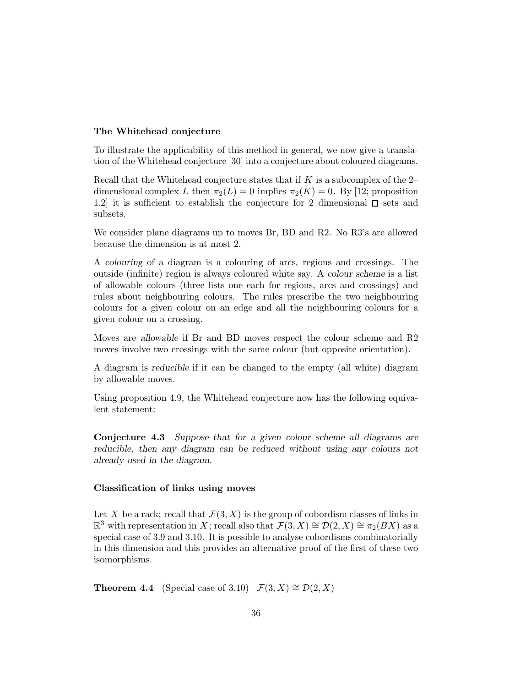## The Whitehead conjecture

To illustrate the applicability of this method in general, we now give a translation of the Whitehead conjecture [30] into a conjecture about coloured diagrams.

Recall that the Whitehead conjecture states that if  $K$  is a subcomplex of the 2– dimensional complex L then  $\pi_2(L) = 0$  implies  $\pi_2(K) = 0$ . By [12; proposition 1.2 it is sufficient to establish the conjecture for 2-dimensional  $\square$ -sets and subsets.

We consider plane diagrams up to moves Br, BD and R2. No R3's are allowed because the dimension is at most 2.

A colouring of a diagram is a colouring of arcs, regions and crossings. The outside (infinite) region is always coloured white say. A colour scheme is a list of allowable colours (three lists one each for regions, arcs and crossings) and rules about neighbouring colours. The rules prescribe the two neighbouring colours for a given colour on an edge and all the neighbouring colours for a given colour on a crossing.

Moves are allowable if Br and BD moves respect the colour scheme and R2 moves involve two crossings with the same colour (but opposite orientation).

A diagram is reducible if it can be changed to the empty (all white) diagram by allowable moves.

Using proposition 4.9, the Whitehead conjecture now has the following equivalent statement:

Conjecture 4.3 Suppose that for a given colour scheme all diagrams are reducible, then any diagram can be reduced without using any colours not already used in the diagram.

#### Classification of links using moves

Let X be a rack; recall that  $\mathcal{F}(3, X)$  is the group of cobordism classes of links in  $\mathbb{R}^3$  with representation in X; recall also that  $\mathcal{F}(3, X) \cong \mathcal{D}(2, X) \cong \pi_2(BX)$  as a special case of 3.9 and 3.10. It is possible to analyse cobordisms combinatorially in this dimension and this provides an alternative proof of the first of these two isomorphisms.

**Theorem 4.4** (Special case of 3.10)  $\mathcal{F}(3, X) \cong \mathcal{D}(2, X)$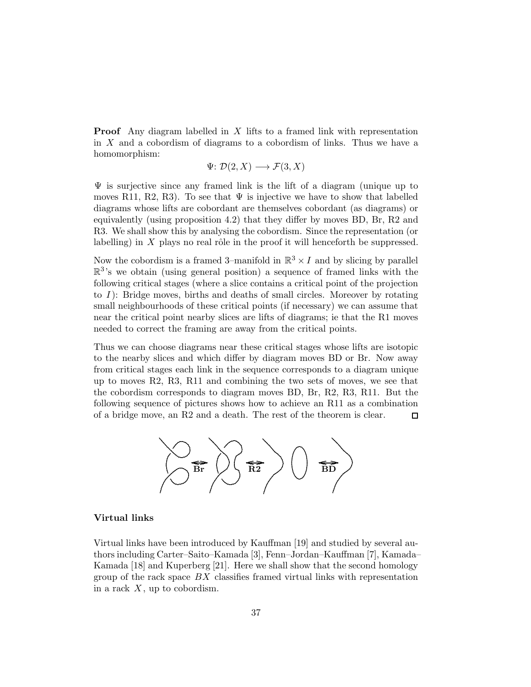Proof Any diagram labelled in X lifts to a framed link with representation in  $X$  and a cobordism of diagrams to a cobordism of links. Thus we have a homomorphism:

$$
\Psi \colon \mathcal{D}(2, X) \longrightarrow \mathcal{F}(3, X)
$$

 $\Psi$  is surjective since any framed link is the lift of a diagram (unique up to moves R11, R2, R3). To see that  $\Psi$  is injective we have to show that labelled diagrams whose lifts are cobordant are themselves cobordant (as diagrams) or equivalently (using proposition 4.2) that they differ by moves BD, Br, R2 and R3. We shall show this by analysing the cobordism. Since the representation (or labelling) in  $X$  plays no real rôle in the proof it will henceforth be suppressed.

Now the cobordism is a framed 3–manifold in  $\mathbb{R}^3 \times I$  and by slicing by parallel  $\mathbb{R}^3$ 's we obtain (using general position) a sequence of framed links with the following critical stages (where a slice contains a critical point of the projection to  $I$ ): Bridge moves, births and deaths of small circles. Moreover by rotating small neighbourhoods of these critical points (if necessary) we can assume that near the critical point nearby slices are lifts of diagrams; ie that the R1 moves needed to correct the framing are away from the critical points.

Thus we can choose diagrams near these critical stages whose lifts are isotopic to the nearby slices and which differ by diagram moves BD or Br. Now away from critical stages each link in the sequence corresponds to a diagram unique up to moves R2, R3, R11 and combining the two sets of moves, we see that the cobordism corresponds to diagram moves BD, Br, R2, R3, R11. But the following sequence of pictures shows how to achieve an R11 as a combination of a bridge move, an R2 and a death. The rest of the theorem is clear.  $\Box$ 



# Virtual links

Virtual links have been introduced by Kauffman [19] and studied by several authors including Carter–Saito–Kamada [3], Fenn–Jordan–Kauffman [7], Kamada– Kamada [18] and Kuperberg [21]. Here we shall show that the second homology group of the rack space  $BX$  classifies framed virtual links with representation in a rack  $X$ , up to cobordism.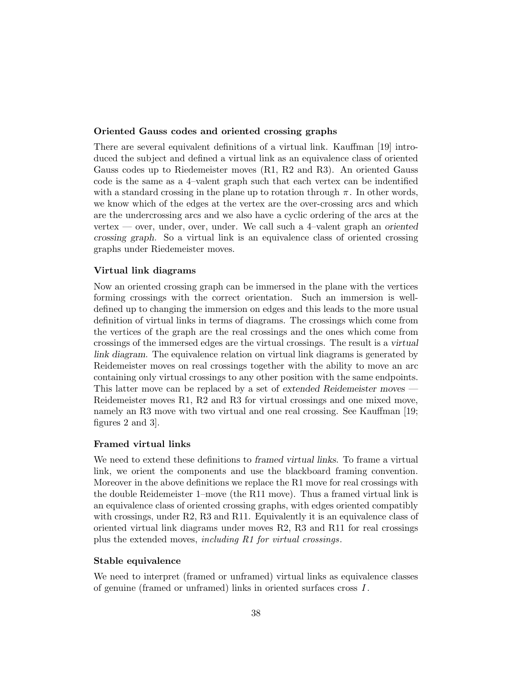## Oriented Gauss codes and oriented crossing graphs

There are several equivalent definitions of a virtual link. Kauffman [19] introduced the subject and defined a virtual link as an equivalence class of oriented Gauss codes up to Riedemeister moves (R1, R2 and R3). An oriented Gauss code is the same as a 4–valent graph such that each vertex can be indentified with a standard crossing in the plane up to rotation through  $\pi$ . In other words, we know which of the edges at the vertex are the over-crossing arcs and which are the undercrossing arcs and we also have a cyclic ordering of the arcs at the vertex — over, under, over, under. We call such a 4-valent graph an oriented crossing graph. So a virtual link is an equivalence class of oriented crossing graphs under Riedemeister moves.

# Virtual link diagrams

Now an oriented crossing graph can be immersed in the plane with the vertices forming crossings with the correct orientation. Such an immersion is welldefined up to changing the immersion on edges and this leads to the more usual definition of virtual links in terms of diagrams. The crossings which come from the vertices of the graph are the real crossings and the ones which come from crossings of the immersed edges are the virtual crossings. The result is a virtual link diagram. The equivalence relation on virtual link diagrams is generated by Reidemeister moves on real crossings together with the ability to move an arc containing only virtual crossings to any other position with the same endpoints. This latter move can be replaced by a set of extended Reidemeister moves — Reidemeister moves R1, R2 and R3 for virtual crossings and one mixed move, namely an R3 move with two virtual and one real crossing. See Kauffman [19; figures 2 and 3].

## Framed virtual links

We need to extend these definitions to *framed virtual links*. To frame a virtual link, we orient the components and use the blackboard framing convention. Moreover in the above definitions we replace the R1 move for real crossings with the double Reidemeister 1–move (the R11 move). Thus a framed virtual link is an equivalence class of oriented crossing graphs, with edges oriented compatibly with crossings, under R2, R3 and R11. Equivalently it is an equivalence class of oriented virtual link diagrams under moves R2, R3 and R11 for real crossings plus the extended moves, including R1 for virtual crossings.

## Stable equivalence

We need to interpret (framed or unframed) virtual links as equivalence classes of genuine (framed or unframed) links in oriented surfaces cross I .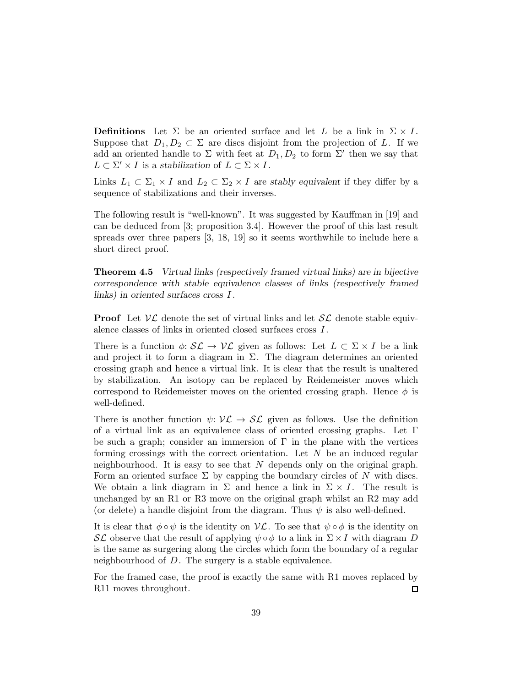**Definitions** Let  $\Sigma$  be an oriented surface and let L be a link in  $\Sigma \times I$ . Suppose that  $D_1, D_2 \subset \Sigma$  are discs disjoint from the projection of L. If we add an oriented handle to  $\Sigma$  with feet at  $D_1, D_2$  to form  $\Sigma'$  then we say that  $L \subset \Sigma' \times I$  is a stabilization of  $L \subset \Sigma \times I$ .

Links  $L_1 \subset \Sigma_1 \times I$  and  $L_2 \subset \Sigma_2 \times I$  are stably equivalent if they differ by a sequence of stabilizations and their inverses.

The following result is "well-known". It was suggested by Kauffman in [19] and can be deduced from [3; proposition 3.4]. However the proof of this last result spreads over three papers [3, 18, 19] so it seems worthwhile to include here a short direct proof.

Theorem 4.5 Virtual links (respectively framed virtual links) are in bijective correspondence with stable equivalence classes of links (respectively framed links) in oriented surfaces cross I .

**Proof** Let  $V\mathcal{L}$  denote the set of virtual links and let  $\mathcal{SL}$  denote stable equivalence classes of links in oriented closed surfaces cross I .

There is a function  $\phi: \mathcal{SL} \to \mathcal{VL}$  given as follows: Let  $L \subset \Sigma \times I$  be a link and project it to form a diagram in  $\Sigma$ . The diagram determines an oriented crossing graph and hence a virtual link. It is clear that the result is unaltered by stabilization. An isotopy can be replaced by Reidemeister moves which correspond to Reidemeister moves on the oriented crossing graph. Hence  $\phi$  is well-defined.

There is another function  $\psi: \mathcal{VL} \to \mathcal{SL}$  given as follows. Use the definition of a virtual link as an equivalence class of oriented crossing graphs. Let Γ be such a graph; consider an immersion of  $\Gamma$  in the plane with the vertices forming crossings with the correct orientation. Let  $N$  be an induced regular neighbourhood. It is easy to see that  $N$  depends only on the original graph. Form an oriented surface  $\Sigma$  by capping the boundary circles of N with discs. We obtain a link diagram in  $\Sigma$  and hence a link in  $\Sigma \times I$ . The result is unchanged by an R1 or R3 move on the original graph whilst an R2 may add (or delete) a handle disjoint from the diagram. Thus  $\psi$  is also well-defined.

It is clear that  $\phi \circ \psi$  is the identity on  $\mathcal{V}\mathcal{L}$ . To see that  $\psi \circ \phi$  is the identity on SL observe that the result of applying  $\psi \circ \phi$  to a link in  $\Sigma \times I$  with diagram D is the same as surgering along the circles which form the boundary of a regular neighbourhood of D. The surgery is a stable equivalence.

For the framed case, the proof is exactly the same with R1 moves replaced by R11 moves throughout.  $\Box$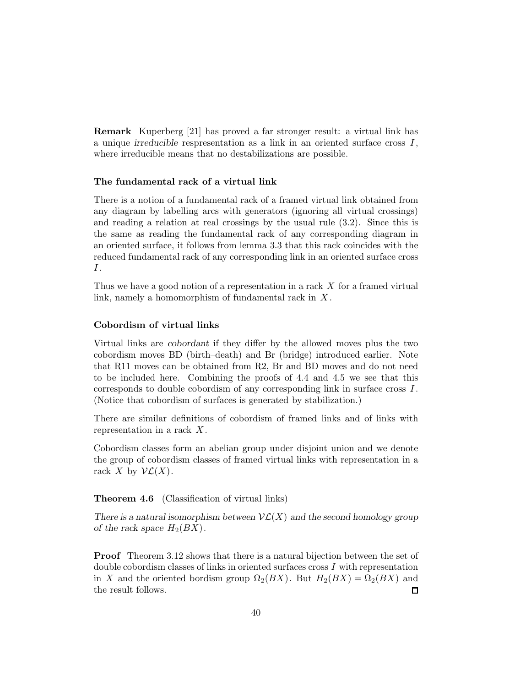Remark Kuperberg [21] has proved a far stronger result: a virtual link has a unique irreducible respresentation as a link in an oriented surface cross  $I$ , where irreducible means that no destabilizations are possible.

# The fundamental rack of a virtual link

There is a notion of a fundamental rack of a framed virtual link obtained from any diagram by labelling arcs with generators (ignoring all virtual crossings) and reading a relation at real crossings by the usual rule (3.2). Since this is the same as reading the fundamental rack of any corresponding diagram in an oriented surface, it follows from lemma 3.3 that this rack coincides with the reduced fundamental rack of any corresponding link in an oriented surface cross  $I$ .

Thus we have a good notion of a representation in a rack X for a framed virtual link, namely a homomorphism of fundamental rack in  $X$ .

# Cobordism of virtual links

Virtual links are cobordant if they differ by the allowed moves plus the two cobordism moves BD (birth–death) and Br (bridge) introduced earlier. Note that R11 moves can be obtained from R2, Br and BD moves and do not need to be included here. Combining the proofs of 4.4 and 4.5 we see that this corresponds to double cobordism of any corresponding link in surface cross I . (Notice that cobordism of surfaces is generated by stabilization.)

There are similar definitions of cobordism of framed links and of links with representation in a rack  $X$ .

Cobordism classes form an abelian group under disjoint union and we denote the group of cobordism classes of framed virtual links with representation in a rack X by  $\mathcal{VL}(X)$ .

Theorem 4.6 (Classification of virtual links)

There is a natural isomorphism between  $\mathcal{V}\mathcal{L}(X)$  and the second homology group of the rack space  $H_2(BX)$ .

**Proof** Theorem 3.12 shows that there is a natural bijection between the set of double cobordism classes of links in oriented surfaces cross  $I$  with representation in X and the oriented bordism group  $\Omega_2(BX)$ . But  $H_2(BX) = \Omega_2(BX)$  and the result follows.  $\Box$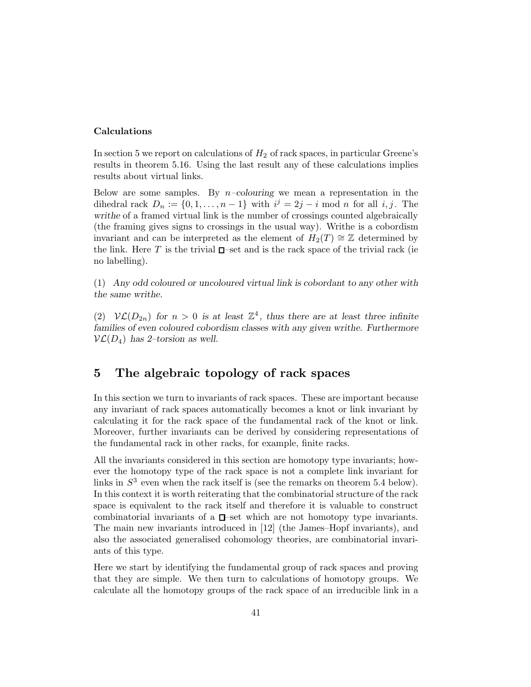### Calculations

In section 5 we report on calculations of  $H_2$  of rack spaces, in particular Greene's results in theorem 5.16. Using the last result any of these calculations implies results about virtual links.

Below are some samples. By  $n$ -colouring we mean a representation in the dihedral rack  $D_n := \{0, 1, \ldots, n-1\}$  with  $i^j = 2j - i \mod n$  for all  $i, j$ . The writhe of a framed virtual link is the number of crossings counted algebraically (the framing gives signs to crossings in the usual way). Writhe is a cobordism invariant and can be interpreted as the element of  $H_2(T) \cong \mathbb{Z}$  determined by the link. Here T is the trivial  $\square$ -set and is the rack space of the trivial rack (ie no labelling).

(1) Any odd coloured or uncoloured virtual link is cobordant to any other with the same writhe.

(2)  $\mathcal{VL}(D_{2n})$  for  $n > 0$  is at least  $\mathbb{Z}^4$ , thus there are at least three infinite families of even coloured cobordism classes with any given writhe. Furthermore  $\mathcal{VL}(D_4)$  has 2-torsion as well.

# 5 The algebraic topology of rack spaces

In this section we turn to invariants of rack spaces. These are important because any invariant of rack spaces automatically becomes a knot or link invariant by calculating it for the rack space of the fundamental rack of the knot or link. Moreover, further invariants can be derived by considering representations of the fundamental rack in other racks, for example, finite racks.

All the invariants considered in this section are homotopy type invariants; however the homotopy type of the rack space is not a complete link invariant for links in  $S<sup>3</sup>$  even when the rack itself is (see the remarks on theorem 5.4 below). In this context it is worth reiterating that the combinatorial structure of the rack space is equivalent to the rack itself and therefore it is valuable to construct combinatorial invariants of a  $\square$ -set which are not homotopy type invariants. The main new invariants introduced in [12] (the James–Hopf invariants), and also the associated generalised cohomology theories, are combinatorial invariants of this type.

Here we start by identifying the fundamental group of rack spaces and proving that they are simple. We then turn to calculations of homotopy groups. We calculate all the homotopy groups of the rack space of an irreducible link in a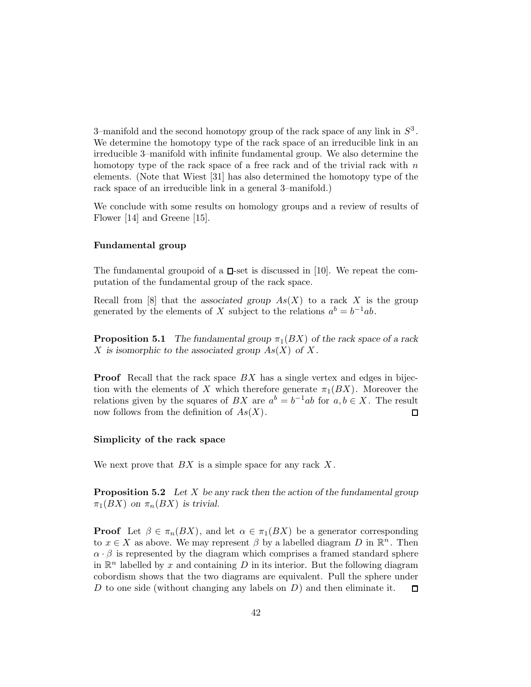3-manifold and the second homotopy group of the rack space of any link in  $S^3$ . We determine the homotopy type of the rack space of an irreducible link in an irreducible 3–manifold with infinite fundamental group. We also determine the homotopy type of the rack space of a free rack and of the trivial rack with  $n$ elements. (Note that Wiest [31] has also determined the homotopy type of the rack space of an irreducible link in a general 3–manifold.)

We conclude with some results on homology groups and a review of results of Flower [14] and Greene [15].

## Fundamental group

The fundamental groupoid of a  $\Box$ -set is discussed in [10]. We repeat the computation of the fundamental group of the rack space.

Recall from  $[8]$  that the associated group  $As(X)$  to a rack X is the group generated by the elements of X subject to the relations  $a^b = b^{-1}ab$ .

**Proposition 5.1** The fundamental group  $\pi_1(BX)$  of the rack space of a rack X is isomorphic to the associated group  $As(X)$  of X.

**Proof** Recall that the rack space  $BX$  has a single vertex and edges in bijection with the elements of X which therefore generate  $\pi_1(BX)$ . Moreover the relations given by the squares of  $BX$  are  $a^b = b^{-1}ab$  for  $a, b \in X$ . The result now follows from the definition of  $As(X)$ .  $\Box$ 

#### Simplicity of the rack space

We next prove that  $BX$  is a simple space for any rack  $X$ .

**Proposition 5.2** Let X be any rack then the action of the fundamental group  $\pi_1(BX)$  on  $\pi_n(BX)$  is trivial.

**Proof** Let  $\beta \in \pi_n(BX)$ , and let  $\alpha \in \pi_1(BX)$  be a generator corresponding to  $x \in X$  as above. We may represent  $\beta$  by a labelled diagram D in  $\mathbb{R}^n$ . Then  $\alpha \cdot \beta$  is represented by the diagram which comprises a framed standard sphere in  $\mathbb{R}^n$  labelled by x and containing D in its interior. But the following diagram cobordism shows that the two diagrams are equivalent. Pull the sphere under D to one side (without changing any labels on  $D$ ) and then eliminate it. □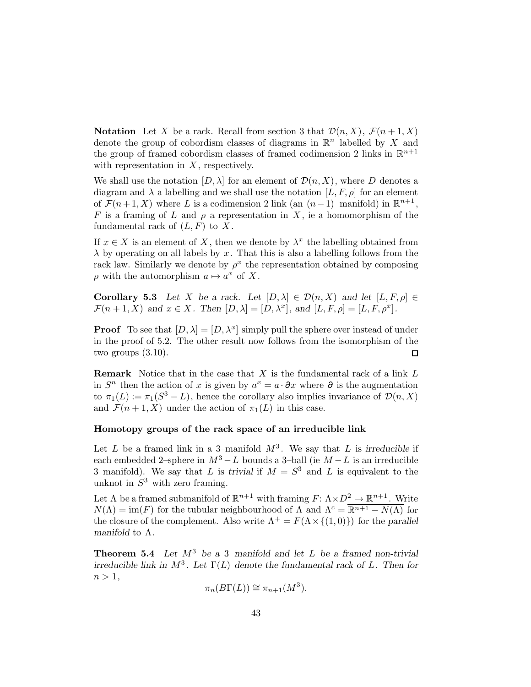**Notation** Let X be a rack. Recall from section 3 that  $\mathcal{D}(n, X)$ ,  $\mathcal{F}(n+1, X)$ denote the group of cobordism classes of diagrams in  $\mathbb{R}^n$  labelled by X and the group of framed cobordism classes of framed codimension 2 links in  $\mathbb{R}^{n+1}$ with representation in  $X$ , respectively.

We shall use the notation  $[D, \lambda]$  for an element of  $\mathcal{D}(n, X)$ , where D denotes a diagram and  $\lambda$  a labelling and we shall use the notation  $[L, F, \rho]$  for an element of  $\mathcal{F}(n+1, X)$  where L is a codimension 2 link (an  $(n-1)$ –manifold) in  $\mathbb{R}^{n+1}$ , F is a framing of L and  $\rho$  a representation in X, ie a homomorphism of the fundamental rack of  $(L, F)$  to X.

If  $x \in X$  is an element of X, then we denote by  $\lambda^x$  the labelling obtained from  $\lambda$  by operating on all labels by x. That this is also a labelling follows from the rack law. Similarly we denote by  $\rho^x$  the representation obtained by composing  $\rho$  with the automorphism  $a \mapsto a^x$  of X.

Corollary 5.3 Let X be a rack. Let  $[D, \lambda] \in \mathcal{D}(n, X)$  and let  $[L, F, \rho] \in$  $\mathcal{F}(n+1,X)$  and  $x \in X$ . Then  $[D,\lambda] = [D,\lambda^x]$ , and  $[L,F,\rho] = [L,F,\rho^x]$ .

**Proof** To see that  $[D, \lambda] = [D, \lambda^x]$  simply pull the sphere over instead of under in the proof of 5.2. The other result now follows from the isomorphism of the two groups (3.10).  $\Box$ 

**Remark** Notice that in the case that  $X$  is the fundamental rack of a link  $L$ in  $S<sup>n</sup>$  then the action of x is given by  $a<sup>x</sup> = a \cdot \partial x$  where  $\partial$  is the augmentation to  $\pi_1(L) := \pi_1(S^3 - L)$ , hence the corollary also implies invariance of  $\mathcal{D}(n, X)$ and  $\mathcal{F}(n+1, X)$  under the action of  $\pi_1(L)$  in this case.

# Homotopy groups of the rack space of an irreducible link

Let L be a framed link in a 3-manifold  $M^3$ . We say that L is irreducible if each embedded 2–sphere in  $M^3 - L$  bounds a 3–ball (ie  $M - L$  is an irreducible 3-manifold). We say that L is trivial if  $M = S<sup>3</sup>$  and L is equivalent to the unknot in  $S^3$  with zero framing.

Let  $\Lambda$  be a framed submanifold of  $\mathbb{R}^{n+1}$  with framing  $F: \Lambda \times D^2 \to \mathbb{R}^{n+1}$ . Write  $N(\Lambda) = \text{im}(F)$  for the tubular neighbourhood of  $\Lambda$  and  $\Lambda^c = \overline{\mathbb{R}^{n+1} - N(\Lambda)}$  for the closure of the complement. Also write  $\Lambda^+ = F(\Lambda \times \{(1,0)\})$  for the parallel manifold to Λ.

**Theorem 5.4** Let  $M^3$  be a 3-manifold and let L be a framed non-trivial irreducible link in  $M^3$ . Let  $\Gamma(L)$  denote the fundamental rack of L. Then for  $n > 1$ ,

$$
\pi_n(B\Gamma(L)) \cong \pi_{n+1}(M^3).
$$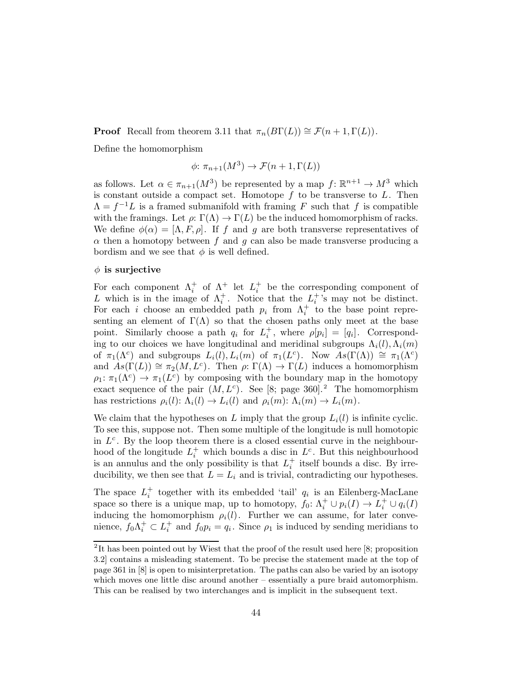**Proof** Recall from theorem 3.11 that  $\pi_n(B\Gamma(L)) \cong \mathcal{F}(n+1,\Gamma(L)).$ 

Define the homomorphism

$$
\phi \colon \pi_{n+1}(M^3) \to \mathcal{F}(n+1,\Gamma(L))
$$

as follows. Let  $\alpha \in \pi_{n+1}(M^3)$  be represented by a map  $f: \mathbb{R}^{n+1} \to M^3$  which is constant outside a compact set. Homotope  $f$  to be transverse to  $L$ . Then  $\Lambda = f^{-1}L$  is a framed submanifold with framing F such that f is compatible with the framings. Let  $\rho: \Gamma(\Lambda) \to \Gamma(L)$  be the induced homomorphism of racks. We define  $\phi(\alpha) = [\Lambda, F, \rho]$ . If f and g are both transverse representatives of  $\alpha$  then a homotopy between f and g can also be made transverse producing a bordism and we see that  $\phi$  is well defined.

## $\phi$  is surjective

For each component  $\Lambda_i^+$  of  $\Lambda^+$  let  $L_i^+$  be the corresponding component of L which is in the image of  $\Lambda_i^+$ . Notice that the  $L_i^+$ 's may not be distinct. For each i choose an embedded path  $p_i$  from  $\Lambda_i^+$  to the base point representing an element of  $\Gamma(\Lambda)$  so that the chosen paths only meet at the base point. Similarly choose a path  $q_i$  for  $L_i^+$ , where  $\rho[p_i] = [q_i]$ . Corresponding to our choices we have longitudinal and meridinal subgroups  $\Lambda_i(l), \Lambda_i(m)$ of  $\pi_1(\Lambda^c)$  and subgroups  $L_i(l), L_i(m)$  of  $\pi_1(L^c)$ . Now  $As(\Gamma(\Lambda)) \cong \pi_1(\Lambda^c)$ and  $As(\Gamma(L)) \cong \pi_2(M, L^c)$ . Then  $\rho: \Gamma(\Lambda) \to \Gamma(L)$  induces a homomorphism  $\rho_1: \pi_1(\Lambda^c) \to \pi_1(L^c)$  by composing with the boundary map in the homotopy exact sequence of the pair  $(M, L<sup>c</sup>)$ . See [8; page 360].<sup>2</sup> The homomorphism has restrictions  $\rho_i(l)$ :  $\Lambda_i(l) \to L_i(l)$  and  $\rho_i(m)$ :  $\Lambda_i(m) \to L_i(m)$ .

We claim that the hypotheses on L imply that the group  $L_i(l)$  is infinite cyclic. To see this, suppose not. Then some multiple of the longitude is null homotopic in  $L^c$ . By the loop theorem there is a closed essential curve in the neighbourhood of the longitude  $L_i^+$  which bounds a disc in  $L^c$ . But this neighbourhood is an annulus and the only possibility is that  $L_i^+$  itself bounds a disc. By irreducibility, we then see that  $L = L_i$  and is trivial, contradicting our hypotheses.

The space  $L_i^+$  together with its embedded 'tail'  $q_i$  is an Eilenberg-MacLane space so there is a unique map, up to homotopy,  $f_0: \Lambda_i^+ \cup p_i(I) \to L_i^+ \cup q_i(I)$ inducing the homomorphism  $\rho_i(l)$ . Further we can assume, for later convenience,  $f_0 \Lambda_i^+ \subset L_i^+$  and  $f_0 p_i = q_i$ . Since  $\rho_1$  is induced by sending meridians to

<sup>&</sup>lt;sup>2</sup>It has been pointed out by Wiest that the proof of the result used here [8; proposition 3.2] contains a misleading statement. To be precise the statement made at the top of page 361 in [8] is open to misinterpretation. The paths can also be varied by an isotopy which moves one little disc around another – essentially a pure braid automorphism. This can be realised by two interchanges and is implicit in the subsequent text.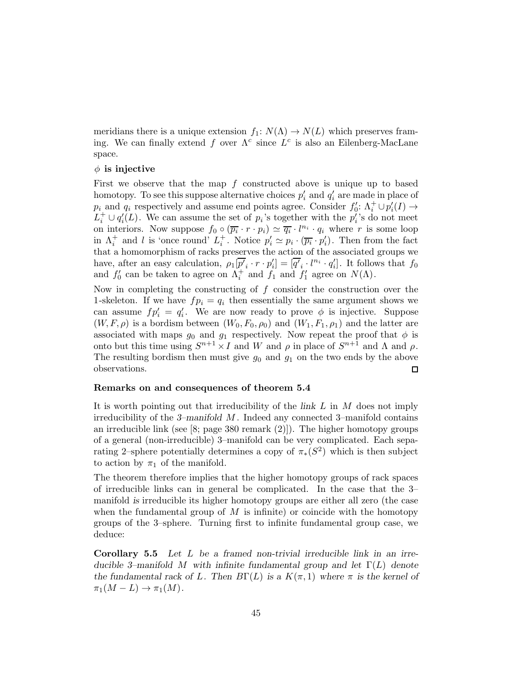meridians there is a unique extension  $f_1: N(\Lambda) \to N(L)$  which preserves framing. We can finally extend f over  $\Lambda^c$  since  $L^c$  is also an Eilenberg-MacLane space.

### $\phi$  is injective

First we observe that the map  $f$  constructed above is unique up to based homotopy. To see this suppose alternative choices  $p'_i$  and  $q'_i$  are made in place of  $p_i$  and  $q_i$  respectively and assume end points agree. Consider  $f'_0: \Lambda_i^+ \cup p_i'(I) \to$  $L_i^+ \cup q_i'(L)$ . We can assume the set of  $p_i$ 's together with the  $p_i'$ 's do not meet on interiors. Now suppose  $f_0 \circ (\overline{p_i} \cdot r \cdot p_i) \simeq \overline{q_i} \cdot l^{n_i} \cdot q_i$  where r is some loop in  $\Lambda_i^+$  and l is 'once round'  $L_i^+$ . Notice  $p'_i \simeq p_i \cdot (\overline{p_i} \cdot p'_i)$ . Then from the fact that a homomorphism of racks preserves the action of the associated groups we have, after an easy calculation,  $\rho_1[\overline{p'}_i \cdot r \cdot p'_i] = [\overline{q'}_i \cdot l^{n_i} \cdot q'_i]$ . It follows that  $f_0$ and  $f'_0$  can be taken to agree on  $\Lambda_i^+$  and  $f_1$  and  $f'_1$  agree on  $N(\Lambda)$ .

Now in completing the constructing of  $f$  consider the construction over the 1-skeleton. If we have  $fp_i = q_i$  then essentially the same argument shows we can assume  $fp'_i = q'_i$ . We are now ready to prove  $\phi$  is injective. Suppose  $(W, F, \rho)$  is a bordism between  $(W_0, F_0, \rho_0)$  and  $(W_1, F_1, \rho_1)$  and the latter are associated with maps  $g_0$  and  $g_1$  respectively. Now repeat the proof that  $\phi$  is onto but this time using  $S^{n+1} \times I$  and W and  $\rho$  in place of  $S^{n+1}$  and  $\Lambda$  and  $\rho$ . The resulting bordism then must give  $g_0$  and  $g_1$  on the two ends by the above observations. □

## Remarks on and consequences of theorem 5.4

It is worth pointing out that irreducibility of the link L in M does not imply irreducibility of the 3–manifold  $M$ . Indeed any connected 3–manifold contains an irreducible link (see [8; page 380 remark (2)]). The higher homotopy groups of a general (non-irreducible) 3–manifold can be very complicated. Each separating 2–sphere potentially determines a copy of  $\pi_*(S^2)$  which is then subject to action by  $\pi_1$  of the manifold.

The theorem therefore implies that the higher homotopy groups of rack spaces of irreducible links can in general be complicated. In the case that the 3– manifold is irreducible its higher homotopy groups are either all zero (the case when the fundamental group of  $M$  is infinite) or coincide with the homotopy groups of the 3–sphere. Turning first to infinite fundamental group case, we deduce:

Corollary 5.5 Let L be a framed non-trivial irreducible link in an irreducible 3–manifold M with infinite fundamental group and let  $\Gamma(L)$  denote the fundamental rack of L. Then  $B\Gamma(L)$  is a  $K(\pi,1)$  where  $\pi$  is the kernel of  $\pi_1(M-L) \to \pi_1(M)$ .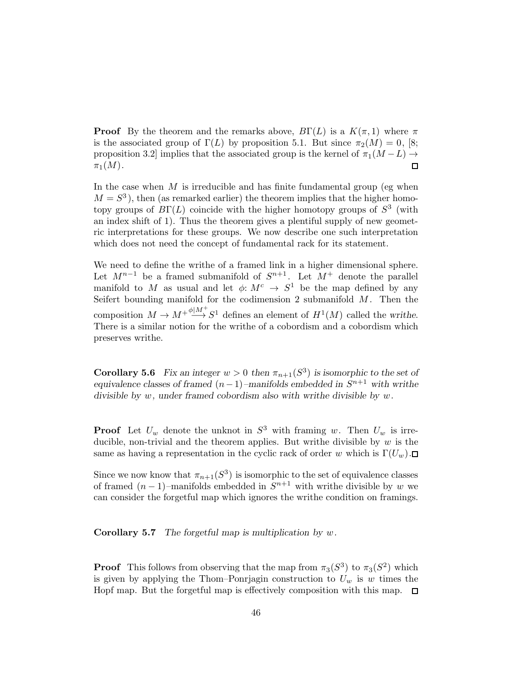**Proof** By the theorem and the remarks above,  $B\Gamma(L)$  is a  $K(\pi, 1)$  where  $\pi$ is the associated group of  $\Gamma(L)$  by proposition 5.1. But since  $\pi_2(M) = 0$ , [8; proposition 3.2] implies that the associated group is the kernel of  $\pi_1(M - L) \rightarrow$  $\pi_1(M)$ .  $\Box$ 

In the case when  $M$  is irreducible and has finite fundamental group (eg when  $M = S<sup>3</sup>$ ), then (as remarked earlier) the theorem implies that the higher homotopy groups of  $B\Gamma(L)$  coincide with the higher homotopy groups of  $S<sup>3</sup>$  (with an index shift of 1). Thus the theorem gives a plentiful supply of new geometric interpretations for these groups. We now describe one such interpretation which does not need the concept of fundamental rack for its statement.

We need to define the writhe of a framed link in a higher dimensional sphere. Let  $M^{n-1}$  be a framed submanifold of  $S^{n+1}$ . Let  $M^+$  denote the parallel manifold to M as usual and let  $\phi: M^c \to S^1$  be the map defined by any Seifert bounding manifold for the codimension 2 submanifold  $M$ . Then the composition  $M \to M^+ \stackrel{\phi \mid M^+}{\longrightarrow} S^1$  defines an element of  $H^1(M)$  called the writhe. There is a similar notion for the writhe of a cobordism and a cobordism which preserves writhe.

**Corollary 5.6** Fix an integer  $w > 0$  then  $\pi_{n+1}(S^3)$  is isomorphic to the set of equivalence classes of framed  $(n-1)$ –manifolds embedded in  $S^{n+1}$  with writhe divisible by  $w$ , under framed cobordism also with writhe divisible by  $w$ .

**Proof** Let  $U_w$  denote the unknot in  $S^3$  with framing w. Then  $U_w$  is irreducible, non-trivial and the theorem applies. But writhe divisible by  $w$  is the same as having a representation in the cyclic rack of order w which is  $\Gamma(U_w)$ .

Since we now know that  $\pi_{n+1}(S^3)$  is isomorphic to the set of equivalence classes of framed  $(n-1)$ -manifolds embedded in  $S^{n+1}$  with writhe divisible by w we can consider the forgetful map which ignores the writhe condition on framings.

**Corollary 5.7** The forgetful map is multiplication by  $w$ .

**Proof** This follows from observing that the map from  $\pi_3(S^3)$  to  $\pi_3(S^2)$  which is given by applying the Thom–Ponrjagin construction to  $U_w$  is w times the Hopf map. But the forgetful map is effectively composition with this map.  $\Box$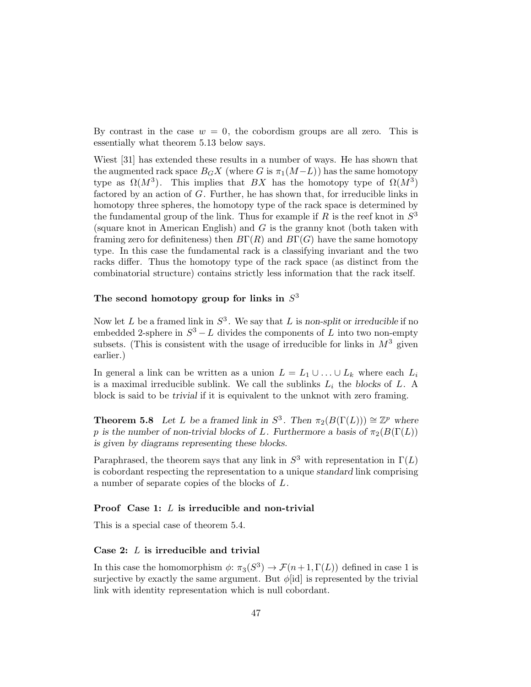By contrast in the case  $w = 0$ , the cobordism groups are all zero. This is essentially what theorem 5.13 below says.

Wiest [31] has extended these results in a number of ways. He has shown that the augmented rack space  $B_G X$  (where G is  $\pi_1(M-L)$ ) has the same homotopy type as  $\Omega(M^3)$ . This implies that BX has the homotopy type of  $\Omega(M^3)$ factored by an action of  $G$ . Further, he has shown that, for irreducible links in homotopy three spheres, the homotopy type of the rack space is determined by the fundamental group of the link. Thus for example if R is the reef knot in  $S^3$ (square knot in American English) and G is the granny knot (both taken with framing zero for definiteness) then  $B\Gamma(R)$  and  $B\Gamma(G)$  have the same homotopy type. In this case the fundamental rack is a classifying invariant and the two racks differ. Thus the homotopy type of the rack space (as distinct from the combinatorial structure) contains strictly less information that the rack itself.

# The second homotopy group for links in  $S<sup>3</sup>$

Now let L be a framed link in  $S^3$ . We say that L is non-split or irreducible if no embedded 2-sphere in  $S^3 - L$  divides the components of L into two non-empty subsets. (This is consistent with the usage of irreducible for links in  $M^3$  given earlier.)

In general a link can be written as a union  $L = L_1 \cup ... \cup L_k$  where each  $L_i$ is a maximal irreducible sublink. We call the sublinks  $L_i$  the blocks of  $L$ . A block is said to be trivial if it is equivalent to the unknot with zero framing.

**Theorem 5.8** Let L be a framed link in  $S^3$ . Then  $\pi_2(B(\Gamma(L))) \cong \mathbb{Z}^p$  where p is the number of non-trivial blocks of L. Furthermore a basis of  $\pi_2(B(\Gamma(L)))$ is given by diagrams representing these blocks.

Paraphrased, the theorem says that any link in  $S^3$  with representation in  $\Gamma(L)$ is cobordant respecting the representation to a unique standard link comprising a number of separate copies of the blocks of L.

## Proof Case 1: L is irreducible and non-trivial

This is a special case of theorem 5.4.

# Case 2: L is irreducible and trivial

In this case the homomorphism  $\phi: \pi_3(S^3) \to \mathcal{F}(n+1,\Gamma(L))$  defined in case 1 is surjective by exactly the same argument. But  $\phi$ [id] is represented by the trivial link with identity representation which is null cobordant.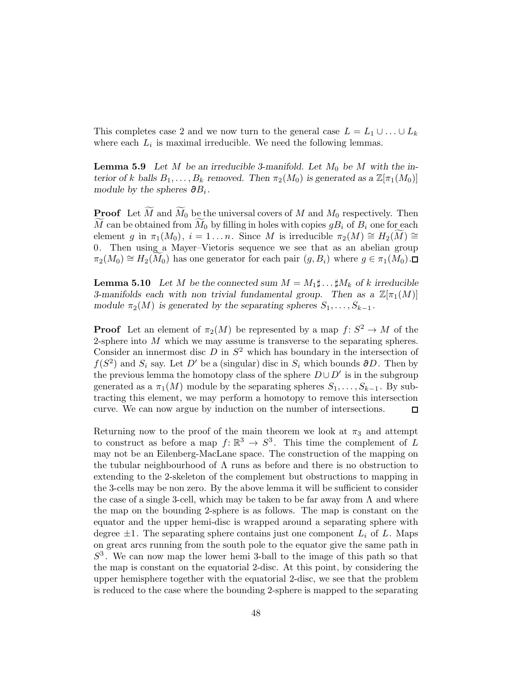This completes case 2 and we now turn to the general case  $L = L_1 \cup ... \cup L_k$ where each  $L_i$  is maximal irreducible. We need the following lemmas.

**Lemma 5.9** Let M be an irreducible 3-manifold. Let  $M_0$  be M with the interior of k balls  $B_1, \ldots, B_k$  removed. Then  $\pi_2(M_0)$  is generated as a  $\mathbb{Z}[\pi_1(M_0)]$ module by the spheres  $\partial B_i$ .

**Proof** Let  $\widetilde{M}$  and  $\widetilde{M}_0$  be the universal covers of M and  $M_0$  respectively. Then M can be obtained from  $M_0$  by filling in holes with copies  $gB_i$  of  $B_i$  one for each element g in  $\pi_1(M_0), i = 1 \dots n$ . Since M is irreducible  $\pi_2(M) \cong H_2(M) \cong$ 0. Then using a Mayer–Vietoris sequence we see that as an abelian group  $\pi_2(M_0) \cong H_2(M_0)$  has one generator for each pair  $(g, B_i)$  where  $g \in \pi_1(M_0)$ .

**Lemma 5.10** Let M be the connected sum  $M = M_1 \sharp \dots \sharp M_k$  of k irreducible 3-manifolds each with non trivial fundamental group. Then as a  $\mathbb{Z}[\pi_1(M)]$ module  $\pi_2(M)$  is generated by the separating spheres  $S_1, \ldots, S_{k-1}$ .

**Proof** Let an element of  $\pi_2(M)$  be represented by a map  $f: S^2 \to M$  of the 2-sphere into  $M$  which we may assume is transverse to the separating spheres. Consider an innermost disc  $D$  in  $S^2$  which has boundary in the intersection of  $f(S^2)$  and  $S_i$  say. Let D' be a (singular) disc in  $S_i$  which bounds ∂D. Then by the previous lemma the homotopy class of the sphere  $D\cup D'$  is in the subgroup generated as a  $\pi_1(M)$  module by the separating spheres  $S_1, \ldots, S_{k-1}$ . By subtracting this element, we may perform a homotopy to remove this intersection curve. We can now argue by induction on the number of intersections.  $\Box$ 

Returning now to the proof of the main theorem we look at  $\pi_3$  and attempt to construct as before a map  $f: \mathbb{R}^3 \to S^3$ . This time the complement of L may not be an Eilenberg-MacLane space. The construction of the mapping on the tubular neighbourhood of  $\Lambda$  runs as before and there is no obstruction to extending to the 2-skeleton of the complement but obstructions to mapping in the 3-cells may be non zero. By the above lemma it will be sufficient to consider the case of a single 3-cell, which may be taken to be far away from  $\Lambda$  and where the map on the bounding 2-sphere is as follows. The map is constant on the equator and the upper hemi-disc is wrapped around a separating sphere with degree  $\pm 1$ . The separating sphere contains just one component  $L_i$  of L. Maps on great arcs running from the south pole to the equator give the same path in  $S<sup>3</sup>$ . We can now map the lower hemi 3-ball to the image of this path so that the map is constant on the equatorial 2-disc. At this point, by considering the upper hemisphere together with the equatorial 2-disc, we see that the problem is reduced to the case where the bounding 2-sphere is mapped to the separating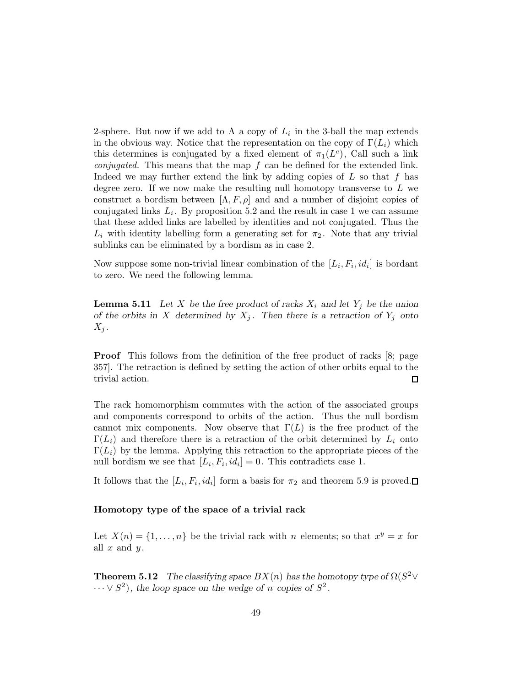2-sphere. But now if we add to  $\Lambda$  a copy of  $L_i$  in the 3-ball the map extends in the obvious way. Notice that the representation on the copy of  $\Gamma(L_i)$  which this determines is conjugated by a fixed element of  $\pi_1(L^c)$ , Call such a link *conjugated.* This means that the map  $f$  can be defined for the extended link. Indeed we may further extend the link by adding copies of  $L$  so that  $f$  has degree zero. If we now make the resulting null homotopy transverse to  $L$  we construct a bordism between  $[\Lambda, F, \rho]$  and and a number of disjoint copies of conjugated links  $L_i$ . By proposition 5.2 and the result in case 1 we can assume that these added links are labelled by identities and not conjugated. Thus the  $L_i$  with identity labelling form a generating set for  $\pi_2$ . Note that any trivial sublinks can be eliminated by a bordism as in case 2.

Now suppose some non-trivial linear combination of the  $[L_i, F_i, id_i]$  is bordant to zero. We need the following lemma.

**Lemma 5.11** Let X be the free product of racks  $X_i$  and let  $Y_j$  be the union of the orbits in X determined by  $X_j$ . Then there is a retraction of  $Y_j$  onto  $X_i$ .

**Proof** This follows from the definition of the free product of racks [8; page 357]. The retraction is defined by setting the action of other orbits equal to the trivial action.  $\Box$ 

The rack homomorphism commutes with the action of the associated groups and components correspond to orbits of the action. Thus the null bordism cannot mix components. Now observe that  $\Gamma(L)$  is the free product of the  $\Gamma(L_i)$  and therefore there is a retraction of the orbit determined by  $L_i$  onto  $\Gamma(L_i)$  by the lemma. Applying this retraction to the appropriate pieces of the null bordism we see that  $[L_i, F_i, id_i] = 0$ . This contradicts case 1.

It follows that the  $[L_i, F_i, id_i]$  form a basis for  $\pi_2$  and theorem 5.9 is proved.

## Homotopy type of the space of a trivial rack

Let  $X(n) = \{1, \ldots, n\}$  be the trivial rack with n elements; so that  $x^y = x$  for all  $x$  and  $y$ .

**Theorem 5.12** The classifying space  $BX(n)$  has the homotopy type of  $\Omega(S^2 \vee$  $\cdots \vee S^2$ , the loop space on the wedge of n copies of  $S^2$ .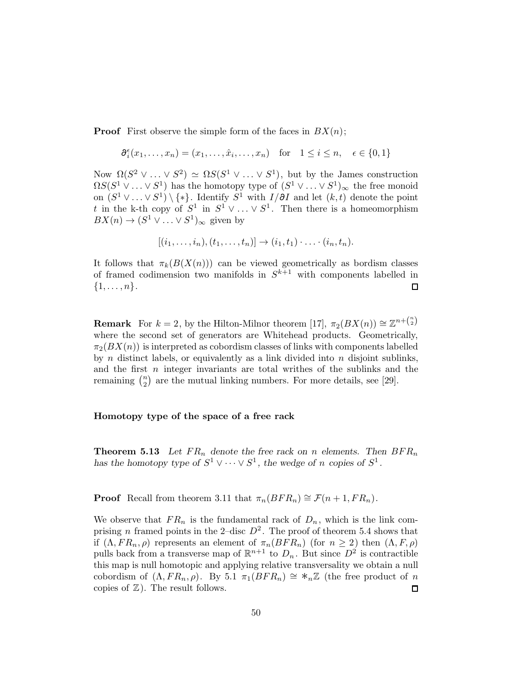**Proof** First observe the simple form of the faces in  $BX(n)$ ;

$$
\partial_i^{\epsilon}(x_1,\ldots,x_n) = (x_1,\ldots,\hat{x}_i,\ldots,x_n) \quad \text{for} \quad 1 \le i \le n, \quad \epsilon \in \{0,1\}
$$

Now  $\Omega(S^2 \vee \ldots \vee S^2) \simeq \Omega S(S^1 \vee \ldots \vee S^1)$ , but by the James construction  $\Omega S(S^1 \vee \ldots \vee S^1)$  has the homotopy type of  $(S^1 \vee \ldots \vee S^1)_{\infty}$  the free monoid on  $(S^1 \vee \ldots \vee S^1) \setminus {\ast}$ . Identify  $S^1$  with  $I/\partial I$  and let  $(k, t)$  denote the point t in the k-th copy of  $S^1$  in  $S^1 \vee \ldots \vee S^1$ . Then there is a homeomorphism  $BX(n) \to (S^1 \vee \ldots \vee S^1)_{\infty}$  given by

$$
[(i_1,\ldots,i_n),(t_1,\ldots,t_n)]\to (i_1,t_1)\cdot\ldots\cdot(i_n,t_n).
$$

It follows that  $\pi_k(B(X(n)))$  can be viewed geometrically as bordism classes of framed codimension two manifolds in  $S^{k+1}$  with components labelled in  $\{1,\ldots,n\}.$  $\Box$ 

**Remark** For  $k = 2$ , by the Hilton-Milnor theorem [17],  $\pi_2(BX(n)) \cong \mathbb{Z}^{n + \binom{n}{2}}$ where the second set of generators are Whitehead products. Geometrically,  $\pi_2(BX(n))$  is interpreted as cobordism classes of links with components labelled by  $n$  distinct labels, or equivalently as a link divided into  $n$  disjoint sublinks, and the first  $n$  integer invariants are total writhes of the sublinks and the remaining  $\binom{n}{2}$  $\binom{n}{2}$  are the mutual linking numbers. For more details, see [29].

#### Homotopy type of the space of a free rack

**Theorem 5.13** Let  $FR_n$  denote the free rack on n elements. Then  $BFR_n$ has the homotopy type of  $S^1 \vee \cdots \vee S^1$ , the wedge of n copies of  $S^1$ .

**Proof** Recall from theorem 3.11 that  $\pi_n(BFR_n) \cong \mathcal{F}(n+1, FR_n)$ .

We observe that  $FR_n$  is the fundamental rack of  $D_n$ , which is the link comprising *n* framed points in the 2-disc  $D^2$ . The proof of theorem 5.4 shows that if  $(\Lambda, FR_n, \rho)$  represents an element of  $\pi_n(BFR_n)$  (for  $n \geq 2$ ) then  $(\Lambda, F, \rho)$ pulls back from a transverse map of  $\mathbb{R}^{n+1}$  to  $D_n$ . But since  $D^2$  is contractible this map is null homotopic and applying relative transversality we obtain a null cobordism of  $(\Lambda, FR_n, \rho)$ . By 5.1  $\pi_1(BFR_n) \cong *_n\mathbb{Z}$  (the free product of n copies of  $\mathbb{Z}$ ). The result follows. □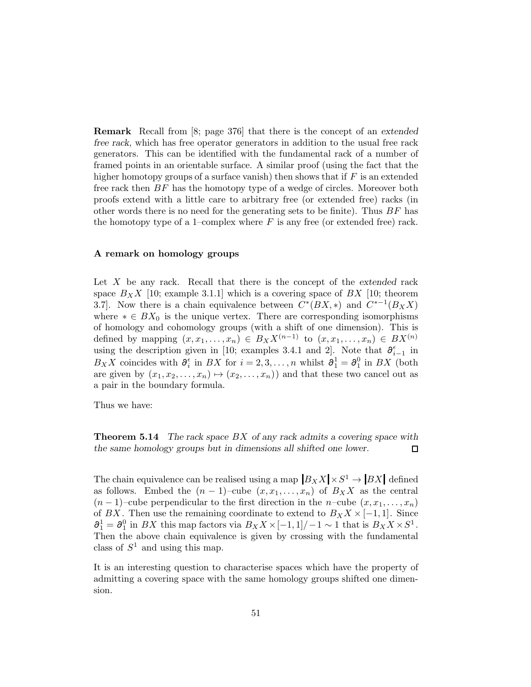Remark Recall from [8; page 376] that there is the concept of an extended free rack, which has free operator generators in addition to the usual free rack generators. This can be identified with the fundamental rack of a number of framed points in an orientable surface. A similar proof (using the fact that the higher homotopy groups of a surface vanish) then shows that if  $F$  is an extended free rack then  $BF$  has the homotopy type of a wedge of circles. Moreover both proofs extend with a little care to arbitrary free (or extended free) racks (in other words there is no need for the generating sets to be finite). Thus  $BF$  has the homotopy type of a 1–complex where  $F$  is any free (or extended free) rack.

# A remark on homology groups

Let  $X$  be any rack. Recall that there is the concept of the extended rack space  $B_X X$  [10; example 3.1.1] which is a covering space of  $BX$  [10; theorem 3.7]. Now there is a chain equivalence between  $C^*(BX, *)$  and  $C^{*-1}(B_XX)$ where  $* \in BX_0$  is the unique vertex. There are corresponding isomorphisms of homology and cohomology groups (with a shift of one dimension). This is defined by mapping  $(x, x_1, \ldots, x_n) \in B_X X^{(n-1)}$  to  $(x, x_1, \ldots, x_n) \in BX^{(n)}$ using the description given in [10; examples 3.4.1 and 2]. Note that  $\partial_{i-1}^{\epsilon}$  in  $B_X X$  coincides with  $\partial_i^{\epsilon}$  in  $BX$  for  $i = 2, 3, ..., n$  whilst  $\partial_1^1 = \partial_1^0$  in  $BX$  (both are given by  $(x_1, x_2, \ldots, x_n) \mapsto (x_2, \ldots, x_n)$  and that these two cancel out as a pair in the boundary formula.

Thus we have:

**Theorem 5.14** The rack space  $BX$  of any rack admits a covering space with the same homology groups but in dimensions all shifted one lower. □

The chain equivalence can be realised using a map  $|B_X X| \times S^1 \to |BX|$  defined as follows. Embed the  $(n-1)$ –cube  $(x, x_1, \ldots, x_n)$  of  $B_X X$  as the central  $(n-1)$ –cube perpendicular to the first direction in the n–cube  $(x, x_1, \ldots, x_n)$ of BX. Then use the remaining coordinate to extend to  $B_X X \times [-1,1]$ . Since  $\partial_1^1 = \partial_1^0$  in BX this map factors via  $B_X X \times [-1,1]/-1 \sim 1$  that is  $B_X X \times S^1$ . Then the above chain equivalence is given by crossing with the fundamental class of  $S^1$  and using this map.

It is an interesting question to characterise spaces which have the property of admitting a covering space with the same homology groups shifted one dimension.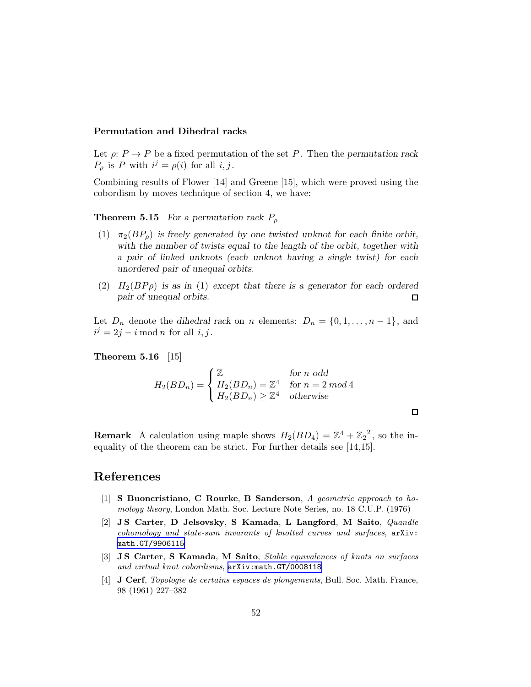# Permutation and Dihedral racks

Let  $\rho: P \to P$  be a fixed permutation of the set P. Then the permutation rack  $P_{\rho}$  is P with  $i^j = \rho(i)$  for all  $i, j$ .

Combining results of Flower [14] and Greene [15], which were proved using the cobordism by moves technique of section 4, we have:

**Theorem 5.15** For a permutation rack  $P_{\rho}$ 

- (1)  $\pi_2(BP_o)$  is freely generated by one twisted unknot for each finite orbit, with the number of twists equal to the length of the orbit, together with a pair of linked unknots (each unknot having a single twist) for each unordered pair of unequal orbits.
- (2)  $H_2(BP\rho)$  is as in (1) except that there is a generator for each ordered pair of unequal orbits.  $\Box$

Let  $D_n$  denote the dihedral rack on n elements:  $D_n = \{0, 1, \ldots, n-1\}$ , and  $i^j = 2j - i \mod n$  for all  $i, j$ .

Theorem 5.16 [15]

$$
H_2(BD_n) = \begin{cases} \mathbb{Z} & \text{for } n \text{ odd} \\ H_2(BD_n) = \mathbb{Z}^4 & \text{for } n = 2 \text{ mod } 4 \\ H_2(BD_n) \ge \mathbb{Z}^4 & \text{otherwise} \end{cases}
$$

**Remark** A calculation using maple shows  $H_2(BD_4) = \mathbb{Z}^4 + \mathbb{Z}_2^2$ , so the inequality of the theorem can be strict. For further details see [14,15].

# References

- [1] S Buoncristiano, C Rourke, B Sanderson, A geometric approach to homology theory, London Math. Soc. Lecture Note Series, no. 18 C.U.P. (1976)
- [2] J S Carter, D Jelsovsky, S Kamada, L Langford, M Saito, Quandle cohomology and state-sum invarants of knotted curves and surfaces, arXiv: [math.GT/9906115](http://arxiv.org/abs/math/9906115)
- [3] J S Carter, S Kamada, M Saito, Stable equivalences of knots on surfaces and virtual knot cobordisms, [arXiv:math.GT/0008118](http://arxiv.org/abs/math/0008118)
- [4] J Cerf, Topologie de certains espaces de plongements, Bull. Soc. Math. France, 98 (1961) 227–382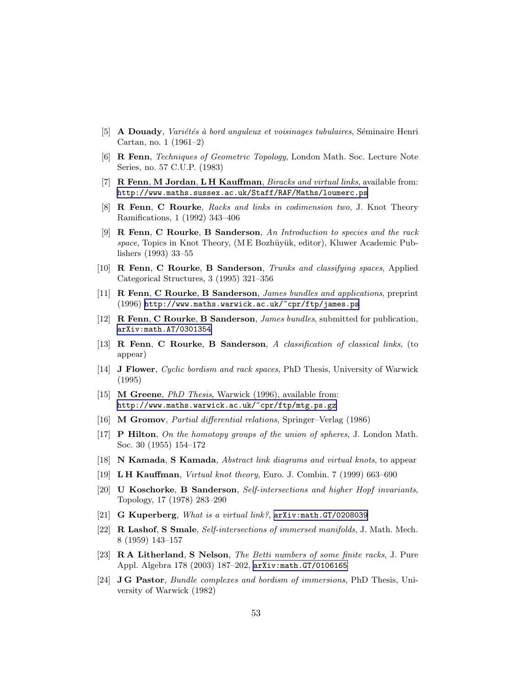- [5] **A Douady**, *Variétés à bord anguleux et voisinages tubulaires*, Séminaire Henri Cartan, no. 1 (1961–2)
- [6] R Fenn, Techniques of Geometric Topology, London Math. Soc. Lecture Note Series, no. 57 C.U.P. (1983)
- [7] R Fenn, M Jordan, L H Kauffman, *Biracks and virtual links*, available from: <http://www.maths.sussex.ac.uk/Staff/RAF/Maths/loumerc.ps>
- [8] R Fenn, C Rourke, Racks and links in codimension two, J. Knot Theory Ramifications, 1 (1992) 343–406
- [9] R Fenn, C Rourke, B Sanderson, An Introduction to species and the rack space, Topics in Knot Theory, (M E Bozhüyük, editor), Kluwer Academic Publishers (1993) 33–55
- [10] R Fenn, C Rourke, B Sanderson, Trunks and classifying spaces, Applied Categorical Structures, 3 (1995) 321–356
- [11] R Fenn, C Rourke, B Sanderson, James bundles and applications, preprint (1996) <http://www.maths.warwick.ac.uk/~cpr/ftp/james.ps>
- [12] R Fenn, C Rourke, B Sanderson, James bundles, submitted for publication, [arXiv:math.AT/0301354](http://arxiv.org/abs/math/0301354)
- [13] R Fenn, C Rourke, B Sanderson, A classification of classical links, (to appear)
- [14] J Flower, Cyclic bordism and rack spaces, PhD Thesis, University of Warwick (1995)
- [15] **M Greene**, *PhD Thesis*, Warwick (1996), available from: <http://www.maths.warwick.ac.uk/~cpr/ftp/mtg.ps.gz>
- [16] M Gromov, Partial differential relations, Springer–Verlag (1986)
- [17] P Hilton, On the homotopy groups of the union of spheres, J. London Math. Soc. 30 (1955) 154–172
- [18] N Kamada, S Kamada, Abstract link diagrams and virtual knots, to appear
- [19] L H Kauffman, Virtual knot theory, Euro. J. Combin. 7 (1999) 663–690
- [20] U Koschorke, B Sanderson, Self-intersections and higher Hopf invariants, Topology, 17 (1978) 283–290
- [21] G Kuperberg, What is a virtual link?, [arXiv:math.GT/0208039](http://arxiv.org/abs/math/0208039)
- [22] R Lashof, S Smale, Self-intersections of immersed manifolds, J. Math. Mech. 8 (1959) 143–157
- [23] R A Litherland, S Nelson, The Betti numbers of some finite racks, J. Pure Appl. Algebra 178 (2003) 187–202, [arXiv:math.GT/0106165](http://arxiv.org/abs/math/0106165)
- [24] J G Pastor, Bundle complexes and bordism of immersions, PhD Thesis, University of Warwick (1982)